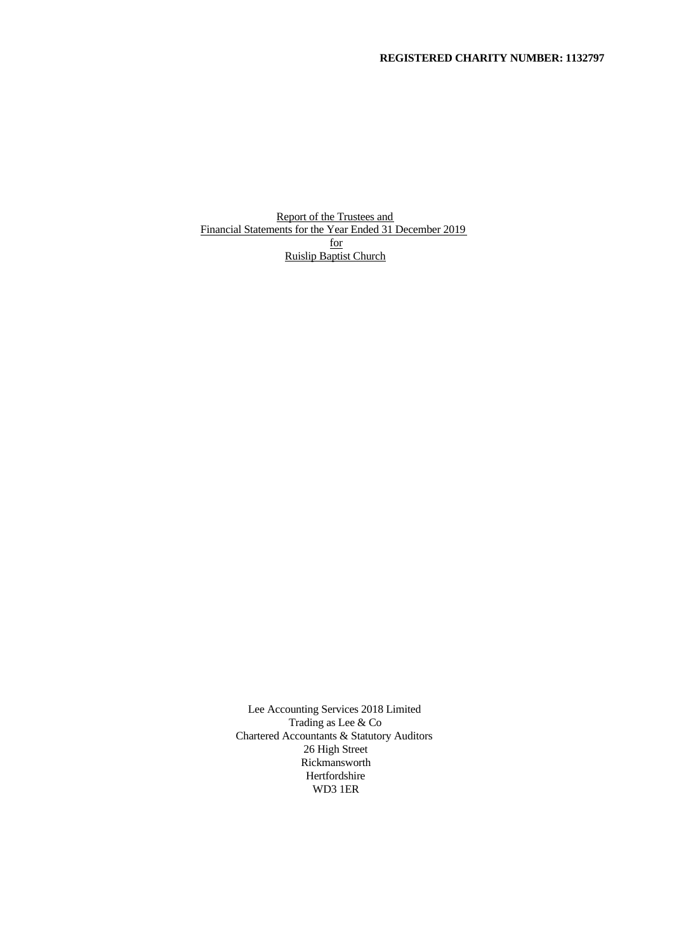Report of the Trustees and Financial Statements for the Year Ended 31 December 2019 for Ruislip Baptist Church

> Lee Accounting Services 2018 Limited Trading as Lee & Co Chartered Accountants & Statutory Auditors 26 High Street Rickmansworth Hertfordshire WD3 1ER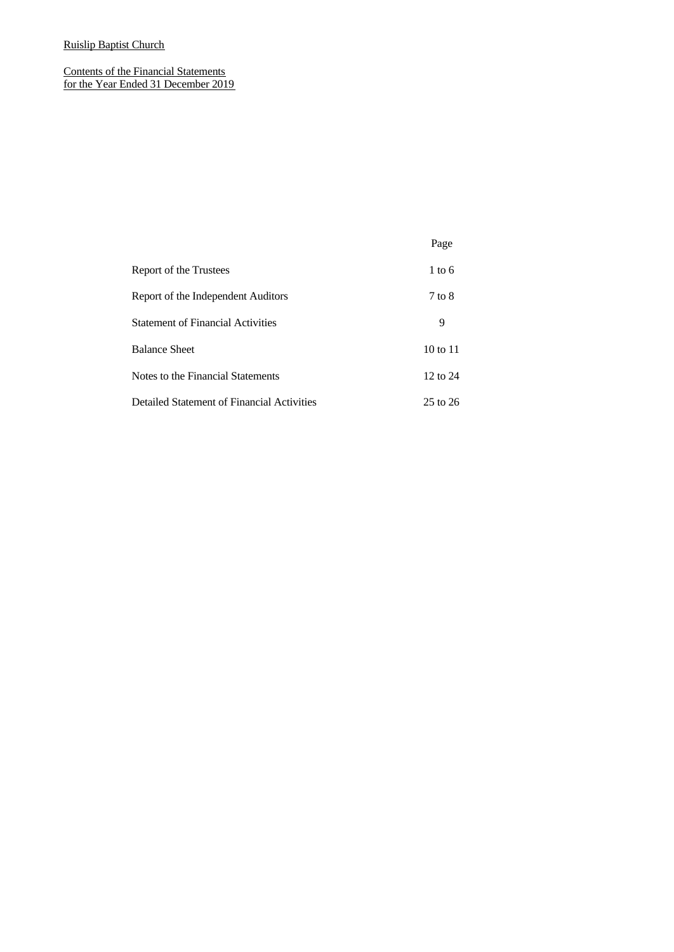Contents of the Financial Statements for the Year Ended 31 December 2019

|                                            | Page         |
|--------------------------------------------|--------------|
| Report of the Trustees                     | $1$ to 6     |
| Report of the Independent Auditors         | 7 to 8       |
| <b>Statement of Financial Activities</b>   | 9            |
| <b>Balance Sheet</b>                       | 10 to 11     |
| Notes to the Financial Statements          | 12 to 24     |
| Detailed Statement of Financial Activities | $25$ to $26$ |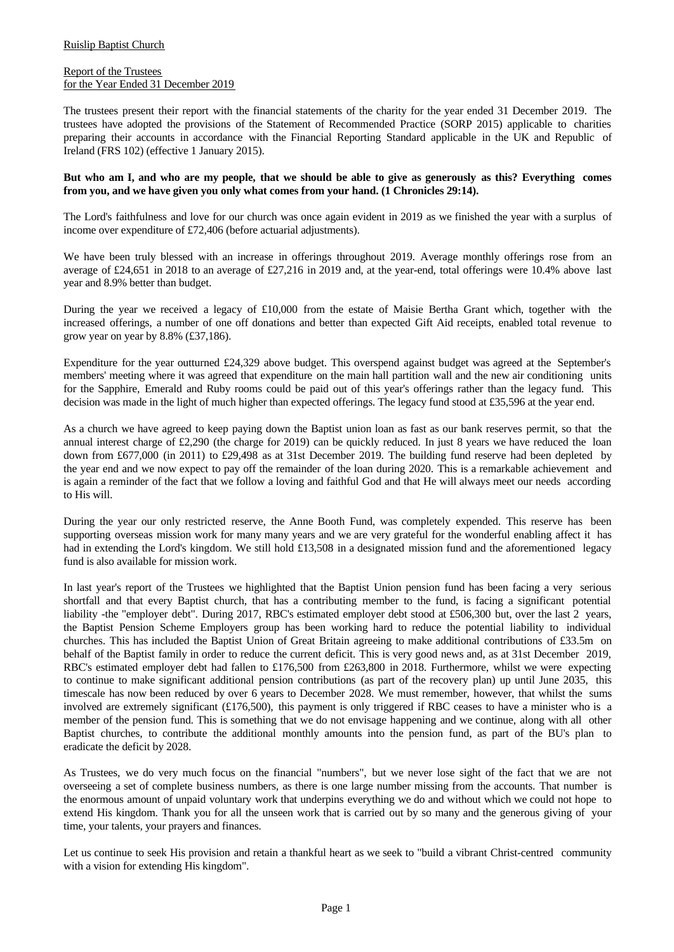The trustees present their report with the financial statements of the charity for the year ended 31 December 2019. The trustees have adopted the provisions of the Statement of Recommended Practice (SORP 2015) applicable to charities preparing their accounts in accordance with the Financial Reporting Standard applicable in the UK and Republic of Ireland (FRS 102) (effective 1 January 2015).

## But who am I, and who are my people, that we should be able to give as generously as this? Everything comes **from you, and we have given you only what comes from your hand. (1 Chronicles 29:14).**

The Lord's faithfulness and love for our church was once again evident in 2019 as we finished the year with a surplus of income over expenditure of £72,406 (before actuarial adjustments).

We have been truly blessed with an increase in offerings throughout 2019. Average monthly offerings rose from an average of £24,651 in 2018 to an average of £27,216 in 2019 and, at the year-end, total offerings were 10.4% above last year and 8.9% better than budget.

During the year we received a legacy of £10,000 from the estate of Maisie Bertha Grant which, together with the increased offerings, a number of one off donations and better than expected Gift Aid receipts, enabled total revenue to grow year on year by 8.8% (£37,186).

Expenditure for the year outturned £24,329 above budget. This overspend against budget was agreed at the September's members' meeting where it was agreed that expenditure on the main hall partition wall and the new air conditioning units for the Sapphire, Emerald and Ruby rooms could be paid out of this year's offerings rather than the legacy fund. This decision was made in the light of much higher than expected offerings. The legacy fund stood at £35,596 at the year end.

As a church we have agreed to keep paying down the Baptistunion loan as fast as our bank reserves permit, so that the annual interest charge of £2,290 (the charge for 2019) can be quickly reduced. In just 8 years we have reduced the loan down from £677,000 (in 2011) to £29,498 as at 31st December 2019. The building fund reserve had been depleted by the year end and we now expect to pay off the remainder of the loan during 2020. This is a remarkable achievement and is again a reminder of the fact that we follow a loving and faithful God and that He will always meet our needs according to His will.

During the year our only restricted reserve, the Anne Booth Fund, was completely expended. This reserve has been supporting overseas mission work for many many years and we are very grateful for the wonderful enabling affect it has had in extending the Lord's kingdom. We still hold £13,508 in a designated mission fund and the aforementioned legacy fund is also available for mission work.

In last year's report of the Trustees we highlighted that the Baptist Union pension fund has been facing a very serious shortfall and that every Baptist church, that has a contributing member to the fund, is facing a significant potential liability -the "employer debt". During 2017, RBC's estimated employer debt stood at £506,300 but, over the last 2 years, the Baptist Pension Scheme Employers group has been working hard to reduce the potential liability to individual churches. This has included the Baptist Union of Great Britain agreeing to make additional contributions of £33.5m on behalf of the Baptist family in order to reduce the current deficit. This is very good news and, as at 31st December 2019, RBC's estimated employer debt had fallen to £176,500 from £263,800 in 2018. Furthermore, whilst we were expecting to continue to make significant additional pension contributions (as part of the recovery plan) up until June 2035, this timescale has now been reduced by over 6 years to December 2028. We must remember, however, that whilst the sums involved are extremely significant  $(\text{\textsterling}176,500)$ , this payment is only triggered if RBC ceases to have a minister who is a member of the pension fund. This is something that we do not envisage happening and we continue, along with all other Baptist churches, to contribute the additional monthly amounts into the pension fund, as part of the BU's plan to eradicate the deficit by 2028.

As Trustees, we do very much focus on the financial "numbers", but we never lose sight of the fact that we are not overseeing a set of complete business numbers, as there is one large number missing from the accounts. That number is the enormous amount of unpaid voluntary work that underpins everything we do and without which we could not hope to extend His kingdom. Thank you for all the unseen work that is carried out by so many and the generous giving of your time, your talents, your prayers and finances.

Let us continue to seek His provision and retain a thankful heart as we seek to "build a vibrant Christ-centred community with a vision for extending His kingdom".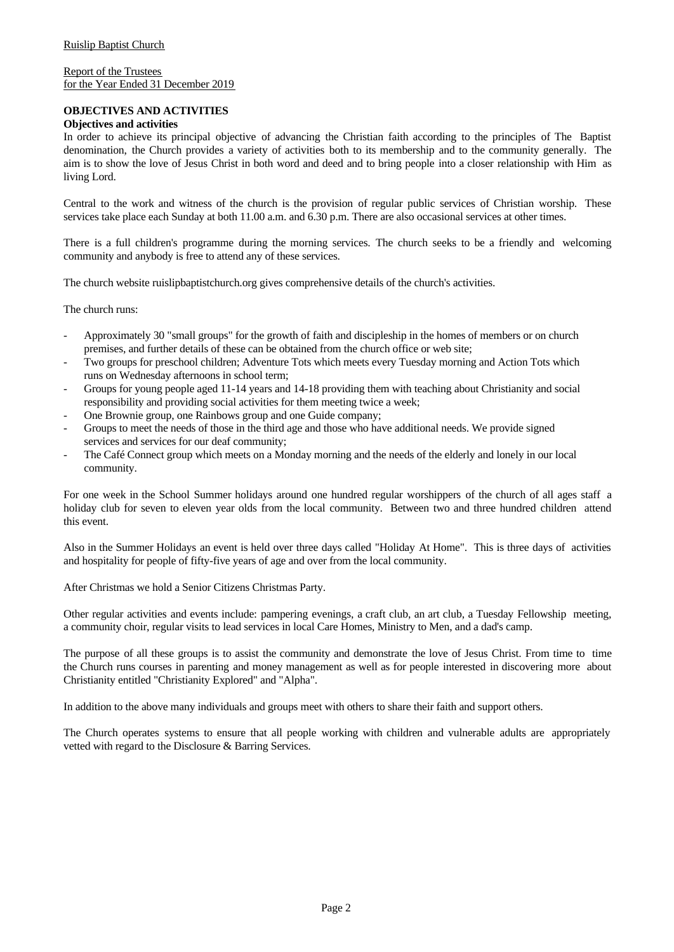## **OBJECTIVES AND ACTIVITIES**

#### **Objectives and activities**

In order to achieve its principal objective of advancing the Christian faith according to the principles of The Baptist denomination, the Church provides a variety of activities both to its membership and to the community generally. The aim is to show the love of Jesus Christ in both word and deed and to bring people into a closer relationship with Him as living Lord.

Central to the work and witness of the church is the provision of regular public services of Christian worship. These services take place each Sunday at both 11.00 a.m. and 6.30 p.m. There are also occasional services at other times.

There is a full children's programme during the morning services. The church seeks to be a friendly and welcoming community and anybody is free to attend any of these services.

The church website ruislipbaptistchurch.org gives comprehensive details of the church's activities.

The church runs:

- Approximately 30 "small groups" for the growth of faith and discipleship in the homes of members or on church premises, and further details of these can be obtained from the church office or web site;
- Two groups for preschool children; Adventure Tots which meets every Tuesday morning and Action Tots which runs on Wednesday afternoons in school term;
- Groups for young people aged 11-14 years and 14-18 providing them with teaching about Christianity and social responsibility and providing social activities for them meeting twice a week;
- One Brownie group, one Rainbows group and one Guide company;
- Groups to meet the needs of those in the third age and those who have additional needs. We provide signed services and services for our deaf community;
- The Café Connect group which meets on a Monday morning and the needs of the elderly and lonely in our local community.

For one week in the School Summer holidays around one hundred regular worshippers of the church of all ages staff a holiday club for seven to eleven year olds from the local community. Between two and three hundred children attend this event.

Also in the Summer Holidays an event is held over three days called "Holiday At Home". This is three days of activities and hospitality for people of fifty-five years of age and over from the local community.

After Christmas we hold a Senior Citizens Christmas Party.

Other regular activities and events include: pampering evenings, a craft club, an art club, a Tuesday Fellowship meeting, a community choir, regular visits to lead services in local Care Homes, Ministry to Men, and a dad's camp.

The purpose of all these groups is to assist the community and demonstrate the love of Jesus Christ. From time to time the Church runs courses in parenting and money management as well as for people interested in discovering more about Christianity entitled "Christianity Explored" and "Alpha".

In addition to the above many individuals and groups meet with others to share their faith and support others.

The Church operates systems to ensure that all people working with children and vulnerable adults are appropriately vetted with regard to the Disclosure & Barring Services.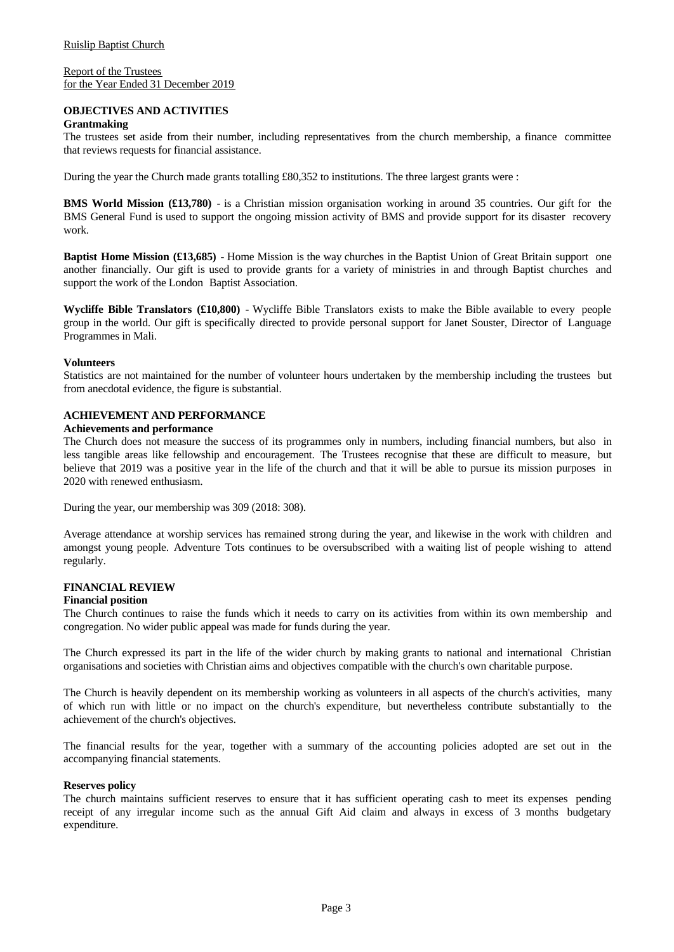Report of the Trustees for the Year Ended 31 December 2019

## **OBJECTIVES AND ACTIVITIES**

#### **Grantmaking**

The trustees set aside from their number, including representatives from the church membership, a finance committee that reviews requests for financial assistance.

During the year the Church made grants totalling £80,352 to institutions. The three largest grants were :

**BMS World Mission (£13,780)**- is a Christian mission organisation working in around 35 countries. Our gift for the BMS General Fund is used to support the ongoing mission activity of BMS and provide support for its disaster recovery work.

**Baptist Home Mission (£13,685)** - Home Mission is the way churches in the Baptist Union of Great Britain support one another financially. Our gift is used to provide grants for a variety of ministries in and through Baptist churches and support the work of the London Baptist Association.

**Wycliffe Bible Translators (£10,800)** - Wycliffe Bible Translators exists to make the Bible available to every people group in the world. Our gift is specifically directed to provide personal support for Janet Souster, Director of Language Programmes in Mali.

#### **Volunteers**

Statistics are not maintained for the number of volunteer hours undertaken by the membership including the trustees but from anecdotal evidence, the figure is substantial.

#### **ACHIEVEMENT AND PERFORMANCE**

#### **Achievements and performance**

The Church does not measure the success of its programmes only in numbers, including financial numbers, but also in less tangible areas like fellowship and encouragement. The Trustees recognise that these are difficult to measure, but believe that 2019 was a positive yearin the life of the church and that it will be able to pursue its mission purposes in 2020 with renewed enthusiasm.

During the year, our membership was 309 (2018: 308).

Average attendance at worship services has remained strong during the year, and likewise in the work with children and amongst young people. Adventure Tots continues to be oversubscribed with a waiting list of people wishing to attend regularly.

### **FINANCIAL REVIEW**

### **Financial position**

The Church continues to raise the funds which it needs to carry on its activities from within its own membership and congregation. No wider public appeal was made for funds during the year.

The Church expressed its part in the life of the wider church by making grants to national and international Christian organisations and societies with Christian aims and objectives compatible with the church's own charitable purpose.

The Church is heavily dependent on its membership working as volunteers in all aspects of the church's activities, many of which run with little or no impact on the church's expenditure, but nevertheless contribute substantially to the achievement of the church's objectives.

The financial results for the year, together with a summary of the accounting policies adopted are set out in the accompanying financial statements.

### **Reserves policy**

The church maintains sufficient reserves to ensure that it has sufficient operating cash to meet its expenses pending receipt of any irregular income such as the annual Gift Aid claim and always in excess of 3 months budgetary expenditure.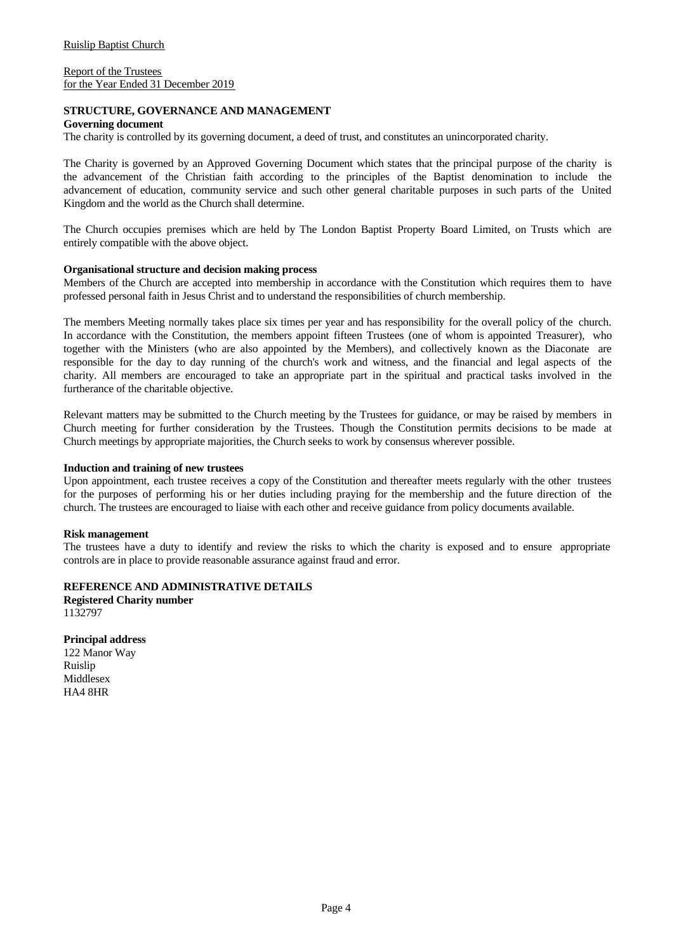## **STRUCTURE, GOVERNANCE AND MANAGEMENT**

#### **Governing document**

The charity is controlled by its governing document, a deed of trust, and constitutes an unincorporated charity.

The Charity is governed by an Approved Governing Document which states that the principal purpose of the charity is the advancement of the Christian faith according to the principles of the Baptist denomination to include the advancement of education, community service and such other general charitable purposes in such parts of the United Kingdom and the world as the Church shall determine.

The Church occupies premises which are held by The London Baptist Property Board Limited, on Trusts which are entirely compatible with the above object.

#### **Organisational structure and decision making process**

Members of the Church are accepted into membership in accordance with the Constitution which requires them to have professed personal faith in Jesus Christ and to understand the responsibilities of church membership.

The members Meeting normally takes place six times per year and has responsibility for the overall policy of the church. In accordance with the Constitution, the members appoint fifteen Trustees (one of whom is appointed Treasurer), who together with the Ministers (who are also appointed by the Members), and collectively known as the Diaconate are responsible for the day to day running of the church's work and witness, and the financial and legal aspects of the charity. All members are encouraged to take an appropriate part in the spiritual and practical tasks involved in the furtherance of the charitable objective.

Relevant matters may be submitted to the Church meeting by the Trustees for guidance, or may be raised by members in Church meeting for further consideration by the Trustees. Though the Constitution permits decisions to be made at Church meetings by appropriate majorities, the Church seeks to work by consensus wherever possible.

#### **Induction and training of new trustees**

Upon appointment, each trustee receives a copy of the Constitution and thereafter meets regularly with the other trustees for the purposes of performing his or her duties including praying for the membership and the future direction of the church. The trustees are encouraged to liaise with each other and receive guidance from policy documents available.

#### **Risk management**

The trustees have a duty to identify and review the risks to which the charity is exposed and to ensure appropriate controls are in place to provide reasonable assurance against fraud and error.

### **REFERENCE AND ADMINISTRATIVE DETAILS**

**Registered Charity number** 1132797

**Principal address**

122 Manor Way Ruislip Middlesex HA4 8HR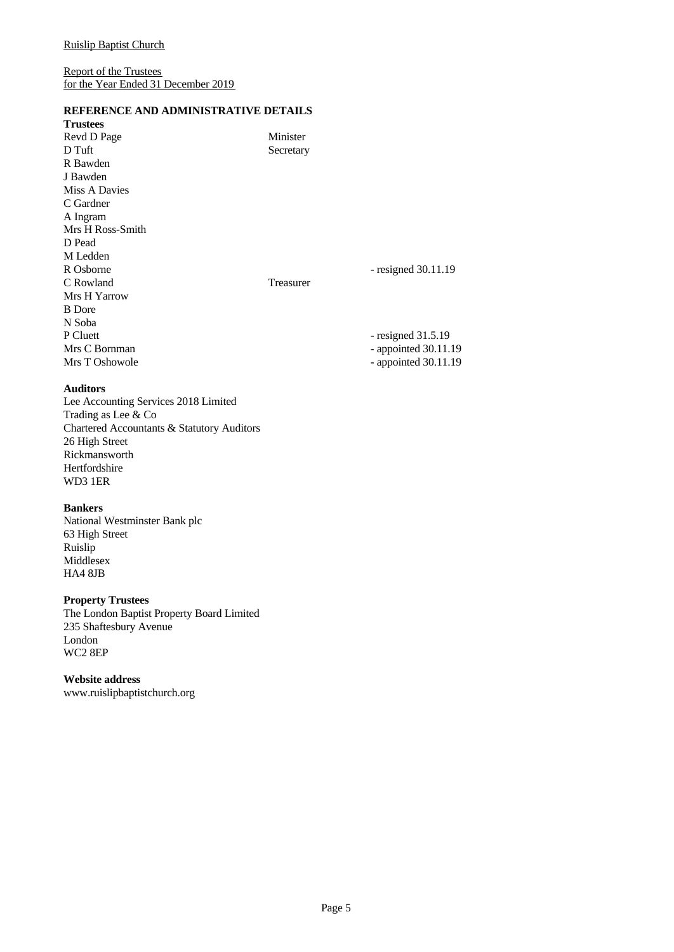## **REFERENCE AND ADMINISTRATIVE DETAILS**

| <b>Trustees</b>  |           |                        |
|------------------|-----------|------------------------|
| Revd D Page      | Minister  |                        |
| D Tuft           | Secretary |                        |
| R Bawden         |           |                        |
| J Bawden         |           |                        |
| Miss A Davies    |           |                        |
| C Gardner        |           |                        |
| A Ingram         |           |                        |
| Mrs H Ross-Smith |           |                        |
| D Pead           |           |                        |
| M Ledden         |           |                        |
| R Osborne        |           | - resigned 30.11.19    |
| C Rowland        | Treasurer |                        |
| Mrs H Yarrow     |           |                        |
| <b>B</b> Dore    |           |                        |
| N Soba           |           |                        |
| P Cluett         |           | - resigned $31.5.19$   |
| Mrs C Bornman    |           | - appointed 30.11.19   |
| Mrs T Oshowole   |           | - appointed $30.11.19$ |

## **Auditors**

Lee Accounting Services 2018 Limited Trading as Lee & Co Chartered Accountants & Statutory Auditors 26 High Street Rickmansworth Hertfordshire WD3 1ER

# **Bankers**

National Westminster Bank plc 63 High Street Ruislip Middlesex HA4 8JB

# **Property Trustees**

The London Baptist Property Board Limited 235 Shaftesbury Avenue London WC2 8EP

## **Website address**

www.ruislipbaptistchurch.org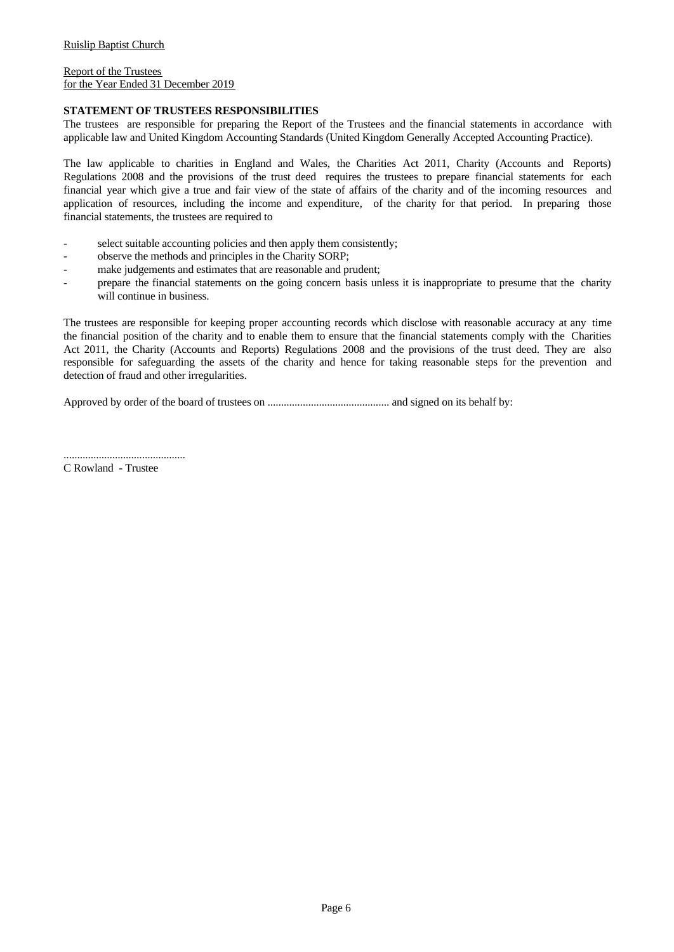## **STATEMENT OF TRUSTEES RESPONSIBILITIES**

The trustees are responsible for preparing the Report of the Trustees and the financial statements in accordance with applicable law and United Kingdom Accounting Standards (United Kingdom Generally Accepted Accounting Practice).

The law applicable to charities in England and Wales, the Charities Act 2011, Charity (Accounts and Reports) Regulations 2008 and the provisions of the trust deed requires the trustees to prepare financial statements for each financial year which give a true and fair view of the state of affairs of the charity and of the incoming resources and application of resources, including the income and expenditure, of the charity for that period. In preparing those financial statements, the trustees are required to

- select suitable accounting policies and then apply them consistently;
- observe the methods and principles in the Charity SORP;
- make judgements and estimates that are reasonable and prudent;
- prepare the financial statements on the going concern basis unless it is inappropriate to presume that the charity will continue in business.

The trustees are responsible for keeping proper accounting records which disclose with reasonable accuracy at any time the financial position of the charity and to enable them to ensure that the financial statements comply with the Charities Act 2011, the Charity (Accounts and Reports) Regulations 2008 and the provisions of the trust deed. They are also responsible for safeguarding the assets of the charity and hence for taking reasonable steps for the prevention and detection of fraud and other irregularities.

Approved by order of the board of trustees on ............................................. and signed on its behalf by:

C Rowland - Trustee

.............................................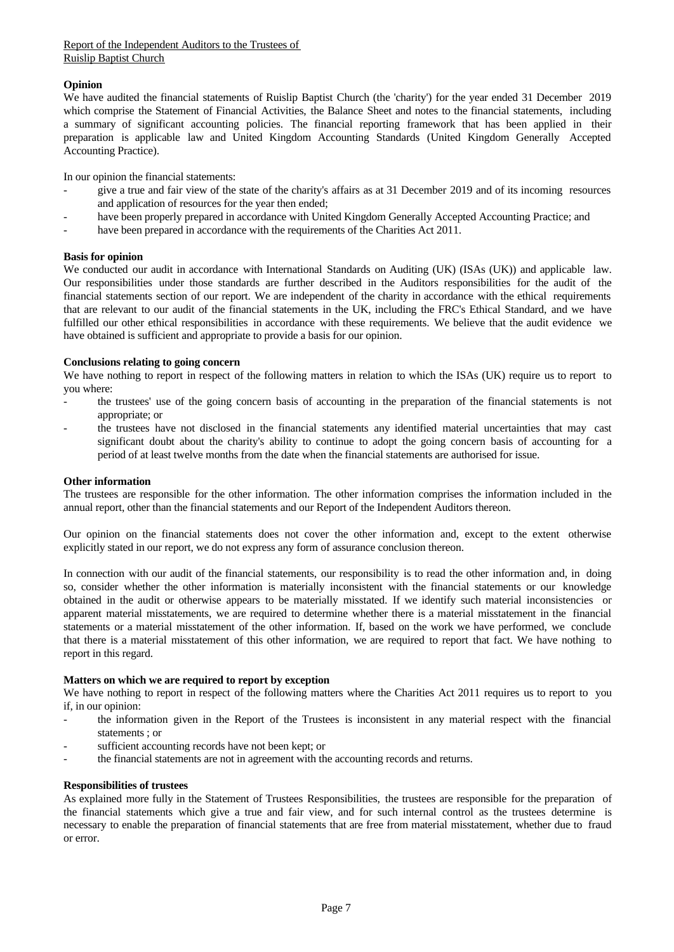## Report of the Independent Auditors to the Trustees of Ruislip Baptist Church

## **Opinion**

We have audited the financial statements of Ruislip Baptist Church (the 'charity') for the year ended 31 December 2019 which comprise the Statement of Financial Activities, the Balance Sheet and notes to the financial statements, including a summary of significant accounting policies. The financial reporting framework that has been applied in their preparation is applicable law and United Kingdom Accounting Standards (United Kingdom Generally Accepted Accounting Practice).

In our opinion the financial statements:

- give a true and fair view of the state of the charity's affairs as at31 December 2019 and of its incoming resources and application of resources for the year then ended;
- have been properly prepared in accordance with United Kingdom Generally Accepted Accounting Practice; and
- have been prepared in accordance with the requirements of the Charities Act 2011.

## **Basis for opinion**

We conducted our audit in accordance with International Standards on Auditing (UK) (ISAs (UK)) and applicable law. Our responsibilities under those standards are further described in the Auditors responsibilities for the audit of the financial statements section of our report. We are independent of the charity in accordance with the ethical requirements that are relevant to our audit of the financial statements in the UK, including the FRC's Ethical Standard, and we have fulfilled our other ethical responsibilities in accordance with these requirements. We believe that the audit evidence we have obtained is sufficient and appropriate to provide a basis for our opinion.

## **Conclusions relating to going concern**

We have nothing to report in respect of the following matters in relation to which the ISAs (UK) require us to report to you where:

- the trustees' use of the going concern basis of accounting in the preparation of the financial statements is not appropriate; or
- the trustees have not disclosed in the financial statements any identified material uncertainties that may cast significant doubt about the charity's ability to continue to adopt the going concern basis of accounting for a period of at least twelve months from the date when the financial statements are authorised for issue.

### **Other information**

The trustees are responsible for the other information. The other information comprises the information included in the annual report, other than the financial statements and our Report of the Independent Auditors thereon.

Our opinion on the financial statements does not cover the other information and, except to the extent otherwise explicitly stated in our report, we do not express any form of assurance conclusion thereon.

In connection with our audit of the financial statements, our responsibility is to read the other information and, in doing so, consider whether the other information is materially inconsistent with the financial statements or our knowledge obtained in the audit or otherwise appears to be materially misstated. If we identify such material inconsistencies or apparent material misstatements, we are required to determine whether there is a material misstatement in the financial statements or a material misstatement of the other information. If, based on the work we have performed, we conclude that there is a material misstatement of this other information, we are required to report that fact. We have nothing to report in this regard.

# **Matters on which we are required to report by exception**

We have nothing to report in respect of the following matters where the Charities Act 2011 requires us to report to you if, in our opinion:

- the information given in the Report of the Trustees is inconsistent in any material respect with the financial statements ; or
- sufficient accounting records have not been kept; or
- the financial statements are not in agreement with the accounting records and returns.

### **Responsibilities of trustees**

As explained more fully in the Statement of Trustees Responsibilities, the trustees are responsible for the preparation of the financial statements which give a true and fair view, and for such internal control as the trustees determine is necessary to enable the preparation of financial statements that are free from material misstatement, whether due to fraud or error.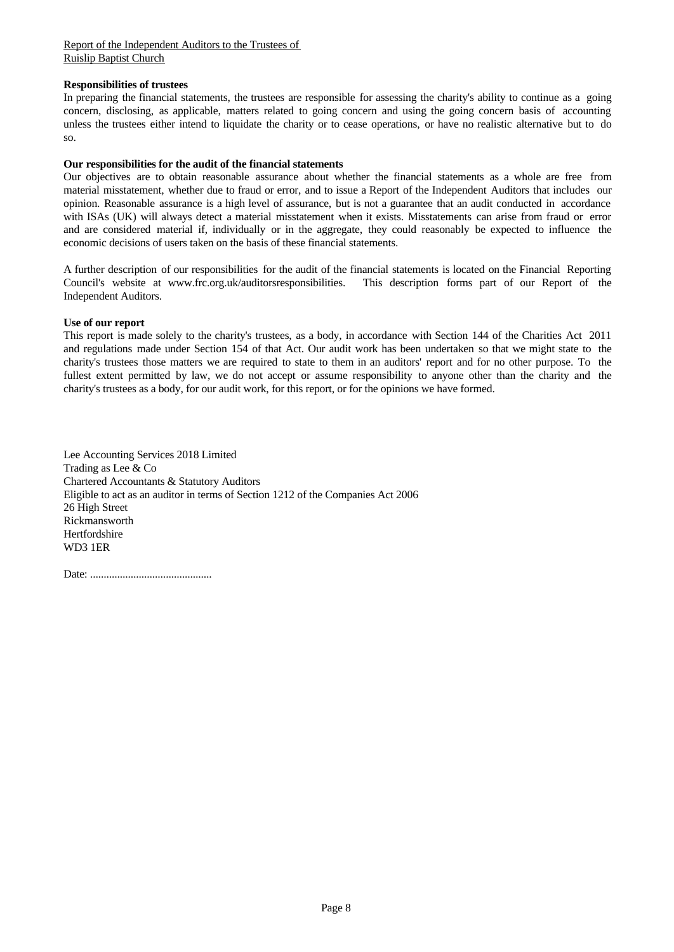## Report of the Independent Auditors to the Trustees of Ruislip Baptist Church

### **Responsibilities of trustees**

In preparing the financial statements, the trustees are responsible for assessing the charity's ability to continue as a going concern, disclosing, as applicable, matters related to going concern and using the going concern basis of accounting unless the trustees either intend to liquidate the charity or to cease operations, or have no realistic alternative but to do so.

### **Our responsibilities for the audit of the financial statements**

Our objectives are to obtain reasonable assurance about whether the financial statements as a whole are free from material misstatement, whether due to fraud or error, and to issue a Report of the Independent Auditors that includes our opinion. Reasonable assurance isa high level of assurance, but is not a guarantee that an audit conducted in accordance with ISAs (UK) will always detect a material misstatement when it exists. Misstatements can arise from fraud or error and are considered material if, individually or in the aggregate, they could reasonably be expected to influence the economic decisions of users taken on the basis of these financial statements.

A further description of our responsibilities for the audit of the financial statements is located on the Financial Reporting Council's website at www.frc.org.uk/auditorsresponsibilities. This description forms partof our Report of the Independent Auditors.

## **Use of our report**

This report is made solely to the charity's trustees, as a body, in accordance with Section 144 of the Charities Act 2011 and regulations made under Section 154 of that Act. Our audit work has been undertaken so that we might state to the charity's trustees those matters we are required to state to them in an auditors' report and for no other purpose. To the fullest extent permitted by law, we do not accept or assume responsibility to anyone other than the charity and the charity's trustees as a body, for our audit work, for this report, or for the opinions we have formed.

Lee Accounting Services 2018 Limited Trading as Lee & Co Chartered Accountants & Statutory Auditors Eligible to act as an auditor in terms of Section 1212 of the Companies Act 2006 26 High Street Rickmansworth **Hertfordshire** WD3 1ER

Date: .............................................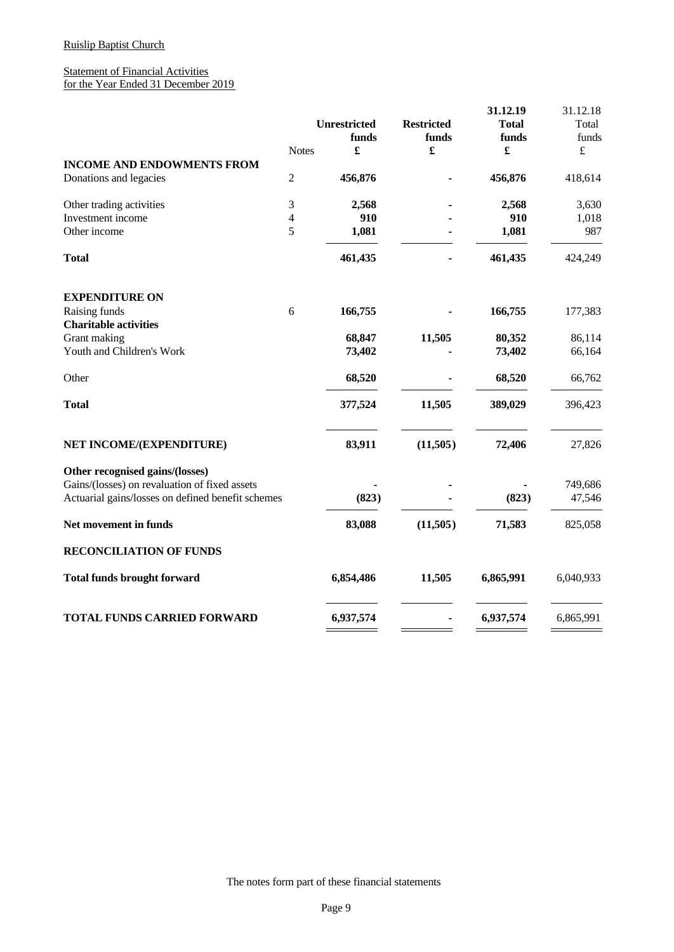## Statement of Financial Activities for the Year Ended 31 December 2019

|                                                   |                          |                     |                   | 31.12.19     | 31.12.18  |
|---------------------------------------------------|--------------------------|---------------------|-------------------|--------------|-----------|
|                                                   |                          | <b>Unrestricted</b> | <b>Restricted</b> | <b>Total</b> | Total     |
|                                                   |                          | funds               | funds             | funds        | funds     |
|                                                   | <b>Notes</b>             | £                   | £                 | £            | £         |
| <b>INCOME AND ENDOWMENTS FROM</b>                 |                          |                     |                   |              |           |
| Donations and legacies                            | 2                        | 456,876             |                   | 456,876      | 418,614   |
| Other trading activities                          | 3                        | 2,568               |                   | 2,568        | 3,630     |
| Investment income                                 | $\overline{\mathcal{L}}$ | 910                 |                   | 910          | 1,018     |
| Other income                                      | 5                        | 1,081               |                   | 1,081        | 987       |
| <b>Total</b>                                      |                          | 461,435             |                   | 461,435      | 424,249   |
| <b>EXPENDITURE ON</b>                             |                          |                     |                   |              |           |
| Raising funds                                     | 6                        | 166,755             |                   | 166,755      | 177,383   |
| <b>Charitable activities</b>                      |                          |                     |                   |              |           |
| Grant making                                      |                          | 68,847              | 11,505            | 80,352       | 86,114    |
| Youth and Children's Work                         |                          | 73,402              |                   | 73,402       | 66,164    |
| Other                                             |                          | 68,520              |                   | 68,520       | 66,762    |
| <b>Total</b>                                      |                          | 377,524             | 11,505            | 389,029      | 396,423   |
| NET INCOME/(EXPENDITURE)                          |                          | 83,911              | (11,505)          | 72,406       | 27,826    |
| Other recognised gains/(losses)                   |                          |                     |                   |              |           |
| Gains/(losses) on revaluation of fixed assets     |                          |                     |                   |              | 749,686   |
| Actuarial gains/losses on defined benefit schemes |                          | (823)               |                   | (823)        | 47,546    |
| Net movement in funds                             |                          | 83,088              | (11,505)          | 71,583       | 825,058   |
| <b>RECONCILIATION OF FUNDS</b>                    |                          |                     |                   |              |           |
| <b>Total funds brought forward</b>                |                          | 6,854,486           | 11,505            | 6,865,991    | 6,040,933 |
| <b>TOTAL FUNDS CARRIED FORWARD</b>                |                          | 6,937,574           |                   | 6,937,574    | 6,865,991 |

The notes form part of these financial statements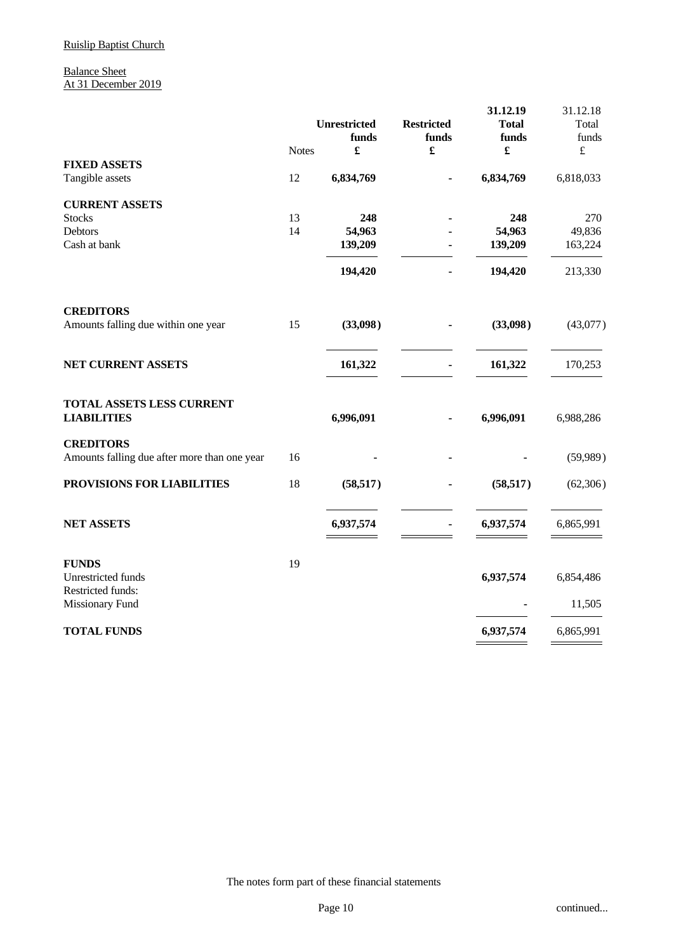## Balance Sheet At 31 December 2019

|                                                 |              |                      |                              | 31.12.19             | 31.12.18  |
|-------------------------------------------------|--------------|----------------------|------------------------------|----------------------|-----------|
|                                                 |              | Unrestricted         | <b>Restricted</b>            | <b>Total</b>         | Total     |
|                                                 |              | funds                | funds                        | funds                | funds     |
|                                                 | <b>Notes</b> | $\pmb{\mathfrak{L}}$ | £                            | $\pmb{\mathfrak{L}}$ | $\pounds$ |
| <b>FIXED ASSETS</b>                             |              |                      |                              |                      |           |
| Tangible assets                                 | 12           | 6,834,769            |                              | 6,834,769            | 6,818,033 |
| <b>CURRENT ASSETS</b>                           |              |                      |                              |                      |           |
| <b>Stocks</b>                                   | 13           | 248                  |                              | 248                  | 270       |
| Debtors                                         | 14           | 54,963               |                              | 54,963               | 49,836    |
| Cash at bank                                    |              | 139,209              |                              | 139,209              | 163,224   |
|                                                 |              | 194,420              |                              | 194,420              | 213,330   |
| <b>CREDITORS</b>                                |              |                      |                              |                      |           |
| Amounts falling due within one year             | 15           | (33,098)             | $\qquad \qquad \blacksquare$ | (33,098)             | (43,077)  |
| NET CURRENT ASSETS                              |              | 161,322              | ÷,                           | 161,322              | 170,253   |
| TOTAL ASSETS LESS CURRENT<br><b>LIABILITIES</b> |              | 6,996,091            |                              | 6,996,091            | 6,988,286 |
| <b>CREDITORS</b>                                |              |                      |                              |                      |           |
| Amounts falling due after more than one year    | 16           |                      |                              |                      | (59,989)  |
| PROVISIONS FOR LIABILITIES                      | 18           | (58, 517)            | $\blacksquare$               | (58, 517)            | (62, 306) |
| <b>NET ASSETS</b>                               |              | 6,937,574            | $\blacksquare$               | 6,937,574            | 6,865,991 |
|                                                 |              |                      |                              |                      |           |
| <b>FUNDS</b>                                    | 19           |                      |                              |                      |           |
| Unrestricted funds<br>Restricted funds:         |              |                      |                              | 6,937,574            | 6,854,486 |
| Missionary Fund                                 |              |                      |                              |                      | 11,505    |
| <b>TOTAL FUNDS</b>                              |              |                      |                              | 6,937,574            | 6,865,991 |
|                                                 |              |                      |                              |                      |           |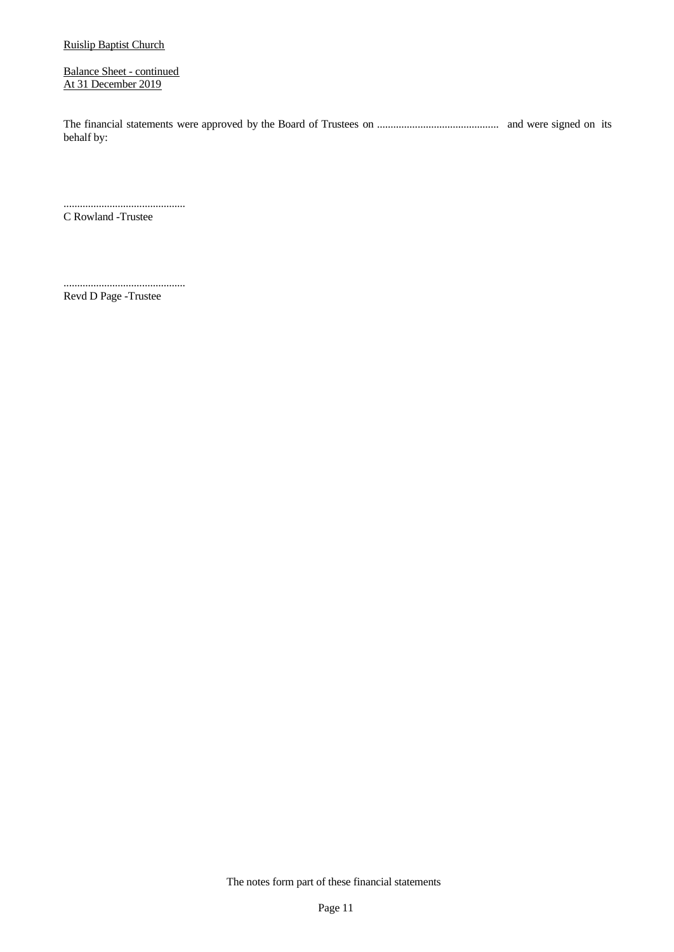Balance Sheet - continued At 31 December 2019

The financial statements were approved by the Board of Trustees on ............................................. and were signed on its behalf by:

C Rowland -Trustee

.............................................

............................................. Revd D Page -Trustee

The notes form part of these financial statements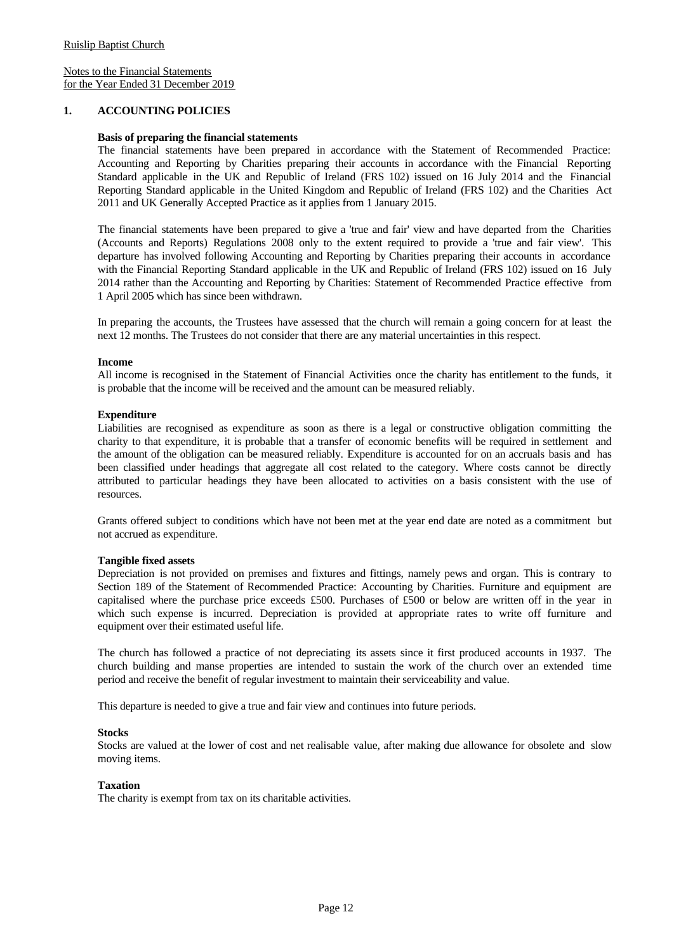## **1. ACCOUNTING POLICIES**

#### **Basis of preparing the financial statements**

The financial statements have been prepared in accordance with the Statement of Recommended Practice: Accounting and Reporting by Charities preparing their accounts in accordance with the Financial Reporting Standard applicable in the UK and Republic of Ireland (FRS 102) issued on 16 July 2014 and the Financial Reporting Standard applicable in the United Kingdom and Republic of Ireland (FRS 102) and the Charities Act 2011 and UK Generally Accepted Practice as it applies from 1 January 2015.

The financial statements have been prepared to give a 'true and fair' view and have departed from the Charities (Accounts and Reports) Regulations 2008 only to the extent required to provide a 'true and fair view'. This departure has involved following Accounting and Reporting by Charities preparing their accounts in accordance with the Financial Reporting Standard applicable in the UK and Republic of Ireland (FRS 102) issued on 16 July 2014 rather than the Accounting and Reporting by Charities: Statement of Recommended Practice effective from 1 April 2005 which has since been withdrawn.

In preparing the accounts, the Trustees have assessed that the church will remain a going concern for atleast the next 12 months. The Trustees do not consider that there are any material uncertainties in this respect.

#### **Income**

All income is recognised in the Statement of Financial Activities once the charity has entitlement to the funds, it is probable that the income will be received and the amount can be measured reliably.

### **Expenditure**

Liabilities are recognised as expenditure as soon as there is a legal or constructive obligation committing the charity to that expenditure, it is probable that a transfer of economic benefits will be required in settlement and the amount of the obligation can be measured reliably. Expenditure is accounted for on an accruals basis and has been classified under headings that aggregate all cost related to the category. Where costs cannot be directly attributed to particular headings they have been allocated to activities on a basis consistent with the use of resources.

Grants offered subject to conditions which have not been met at the year end date are noted as a commitment but not accrued as expenditure.

### **Tangible fixed assets**

Depreciation is not provided on premises and fixtures and fittings, namely pews and organ. This is contrary to Section 189 of the Statement of Recommended Practice: Accounting by Charities. Furniture and equipment are capitalised where the purchase price exceeds £500. Purchases of £500 or below are written off in the year in which such expense is incurred. Depreciation is provided at appropriate rates to write off furniture and equipment over their estimated useful life.

The church has followed a practice of not depreciating its assets since it first produced accounts in 1937. The church building and manse properties are intended to sustain the work of the church over an extended time period and receive the benefit of regular investment to maintain their serviceability and value.

This departure is needed to give a true and fair view and continues into future periods.

### **Stocks**

Stocks are valued at the lower of cost and net realisable value, after making due allowance for obsolete and slow moving items.

### **Taxation**

The charity is exempt from tax on its charitable activities.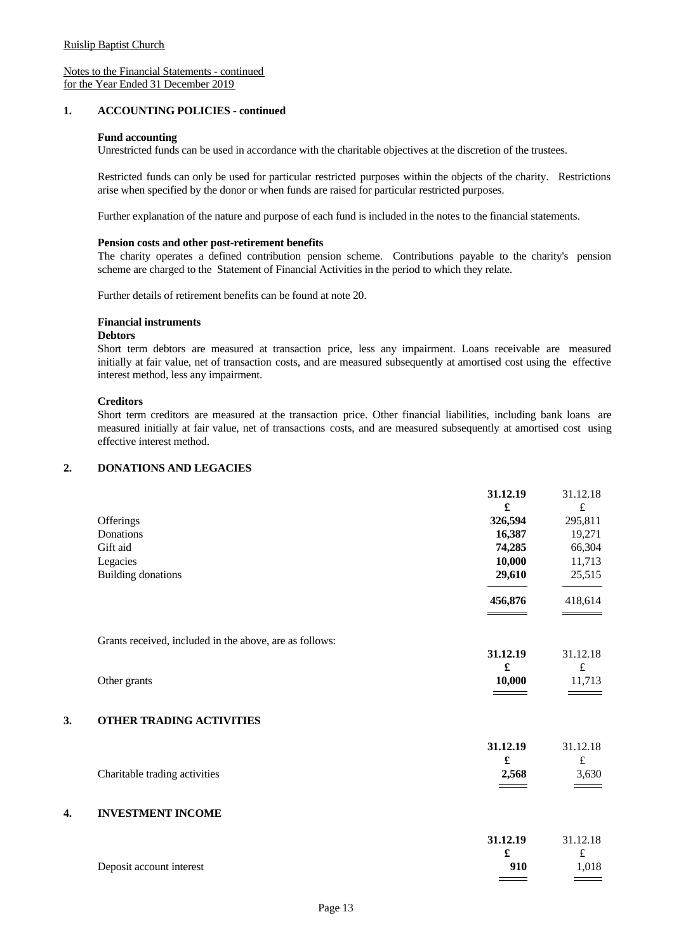## **1. ACCOUNTING POLICIES - continued**

#### **Fund accounting**

Unrestricted funds can be used in accordance with the charitable objectives at the discretion of the trustees.

Restricted funds can only be used for particular restricted purposes within the objects of the charity. Restrictions arise when specified by the donor or when funds are raised for particular restricted purposes.

Further explanation of the nature and purpose of each fund is included in the notes to the financial statements.

#### **Pension costs and other post-retirement benefits**

The charity operates a defined contribution pension scheme. Contributions payable to the charity's pension scheme are charged to the Statement of Financial Activities in the period to which they relate.

Further details of retirement benefits can be found at note 20.

### **Financial instruments**

#### **Debtors**

Short term debtors are measured at transaction price, less any impairment. Loans receivable are measured initially at fair value, net of transaction costs, and are measured subsequently at amortised cost using the effective interest method, less any impairment.

### **Creditors**

Short term creditors are measured at the transaction price. Other financial liabilities, including bank loans are measured initially at fair value, net of transactions costs, and are measured subsequently at amortised cost using effective interest method.

## **2. DONATIONS AND LEGACIES**

|    |                                                         | 31.12.19 | 31.12.18  |  |
|----|---------------------------------------------------------|----------|-----------|--|
|    |                                                         | £        | $\pounds$ |  |
|    | Offerings                                               | 326,594  | 295,811   |  |
|    | Donations                                               | 16,387   | 19,271    |  |
|    | Gift aid                                                | 74,285   | 66,304    |  |
|    | Legacies                                                | 10,000   | 11,713    |  |
|    | <b>Building donations</b>                               | 29,610   | 25,515    |  |
|    |                                                         |          |           |  |
|    |                                                         | 456,876  | 418,614   |  |
|    |                                                         |          |           |  |
|    | Grants received, included in the above, are as follows: |          |           |  |
|    |                                                         | 31.12.19 | 31.12.18  |  |
|    |                                                         | £        | $\pounds$ |  |
|    | Other grants                                            | 10,000   | 11,713    |  |
|    |                                                         |          |           |  |
|    |                                                         |          |           |  |
| 3. | OTHER TRADING ACTIVITIES                                |          |           |  |
|    |                                                         |          |           |  |
|    |                                                         | 31.12.19 | 31.12.18  |  |
|    |                                                         | £        | $\pounds$ |  |
|    | Charitable trading activities                           | 2,568    | 3,630     |  |
|    |                                                         |          |           |  |
|    |                                                         |          |           |  |
| 4. | <b>INVESTMENT INCOME</b>                                |          |           |  |
|    |                                                         | 31.12.19 | 31.12.18  |  |
|    |                                                         | £        | $\pounds$ |  |
|    | Deposit account interest                                | 910      | 1,018     |  |
|    |                                                         |          |           |  |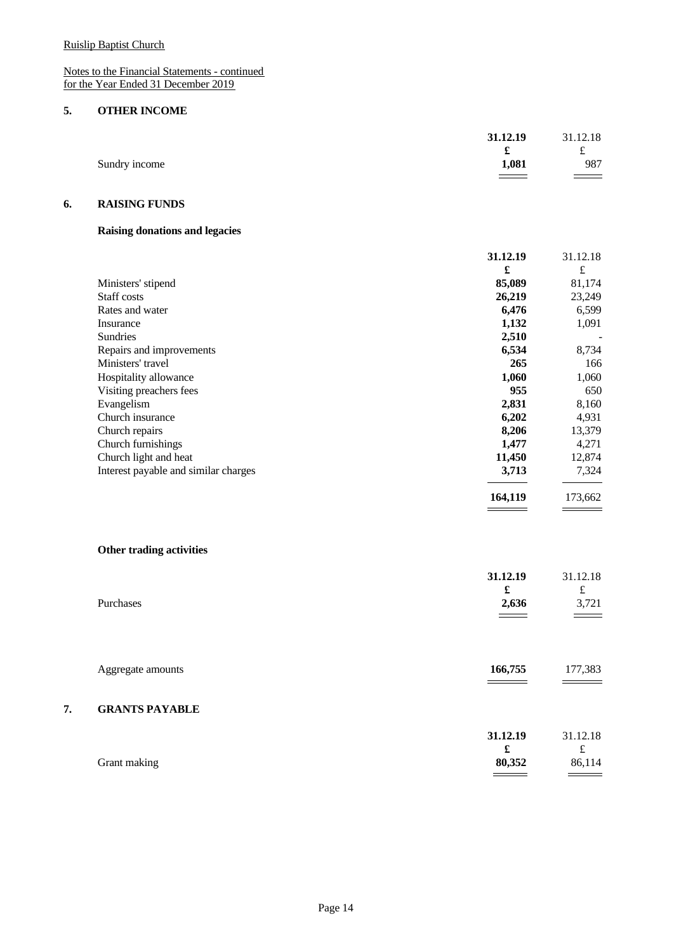# **5. OTHER INCOME**

|               | 31.12.19 | 31.12.18                   |  |
|---------------|----------|----------------------------|--|
|               | ~        | t                          |  |
| Sundry income | 1,081    | 987                        |  |
|               | $=$      | $\equiv$ $\equiv$ $\equiv$ |  |

# **6. RAISING FUNDS**

## **Raising donations and legacies**

|                                      | 31.12.19 | 31.12.18 |  |
|--------------------------------------|----------|----------|--|
|                                      | £        | £        |  |
| Ministers' stipend                   | 85,089   | 81,174   |  |
| Staff costs                          | 26,219   | 23,249   |  |
| Rates and water                      | 6,476    | 6,599    |  |
| Insurance                            | 1,132    | 1,091    |  |
| Sundries                             | 2,510    |          |  |
| Repairs and improvements             | 6,534    | 8,734    |  |
| Ministers' travel                    | 265      | 166      |  |
| Hospitality allowance                | 1,060    | 1,060    |  |
| Visiting preachers fees              | 955      | 650      |  |
| Evangelism                           | 2,831    | 8,160    |  |
| Church insurance                     | 6,202    | 4,931    |  |
| Church repairs                       | 8,206    | 13,379   |  |
| Church furnishings                   | 1,477    | 4,271    |  |
| Church light and heat                | 11,450   | 12,874   |  |
| Interest payable and similar charges | 3,713    | 7,324    |  |
|                                      | 164,119  | 173,662  |  |
|                                      |          |          |  |

# **Other trading activities**

| 31.12.19                                     | 31.12.18                   |                  |
|----------------------------------------------|----------------------------|------------------|
| £                                            | £                          |                  |
|                                              |                            |                  |
|                                              |                            |                  |
|                                              |                            |                  |
|                                              |                            |                  |
| the control of the control of the control of |                            |                  |
|                                              |                            |                  |
| 31.12.19                                     | 31.12.18                   |                  |
| £                                            | £                          |                  |
| 80,352                                       | 86,114                     |                  |
|                                              | 2,636<br>$\sim$<br>166,755 | 3,721<br>177,383 |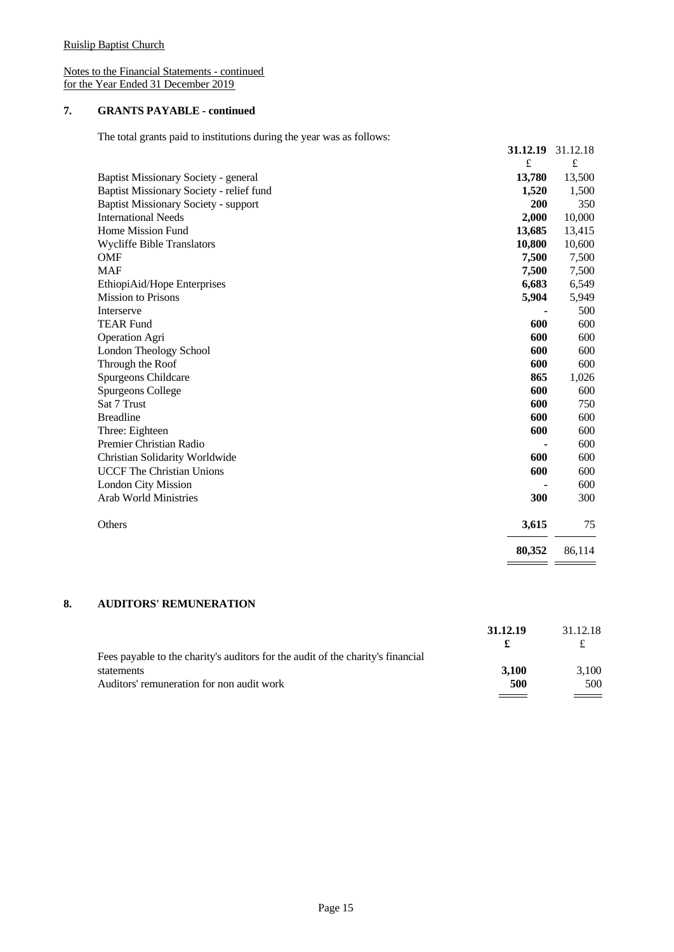## Notes to the Financial Statements - continued for the Year Ended 31 December 2019

# **7. GRANTS PAYABLE - continued**

The total grants paid to institutions during the year was as follows:

|                                             | 31.12.19 | 31.12.18 |  |
|---------------------------------------------|----------|----------|--|
|                                             | £        | £        |  |
| <b>Baptist Missionary Society - general</b> | 13,780   | 13,500   |  |
| Baptist Missionary Society - relief fund    | 1,520    | 1,500    |  |
| <b>Baptist Missionary Society - support</b> | 200      | 350      |  |
| <b>International Needs</b>                  | 2,000    | 10,000   |  |
| Home Mission Fund                           | 13,685   | 13,415   |  |
| <b>Wycliffe Bible Translators</b>           | 10,800   | 10,600   |  |
| <b>OMF</b>                                  | 7,500    | 7,500    |  |
| <b>MAF</b>                                  | 7,500    | 7,500    |  |
| EthiopiAid/Hope Enterprises                 | 6,683    | 6,549    |  |
| <b>Mission to Prisons</b>                   | 5,904    | 5,949    |  |
| Interserve                                  |          | 500      |  |
| <b>TEAR Fund</b>                            | 600      | 600      |  |
| <b>Operation Agri</b>                       | 600      | 600      |  |
| <b>London Theology School</b>               | 600      | 600      |  |
| Through the Roof                            | 600      | 600      |  |
| Spurgeons Childcare                         | 865      | 1,026    |  |
| Spurgeons College                           | 600      | 600      |  |
| Sat 7 Trust                                 | 600      | 750      |  |
| <b>Breadline</b>                            | 600      | 600      |  |
| Three: Eighteen                             | 600      | 600      |  |
| Premier Christian Radio                     |          | 600      |  |
| Christian Solidarity Worldwide              | 600      | 600      |  |
| <b>UCCF</b> The Christian Unions            | 600      | 600      |  |
| <b>London City Mission</b>                  |          | 600      |  |
| <b>Arab World Ministries</b>                | 300      | 300      |  |
|                                             |          |          |  |
| Others                                      | 3,615    | 75       |  |
|                                             | 80,352   | 86,114   |  |
|                                             |          |          |  |

## **8. AUDITORS' REMUNERATION**

|                                                                                 | 31.12.19 | 31.12.18    |  |
|---------------------------------------------------------------------------------|----------|-------------|--|
|                                                                                 |          |             |  |
| Fees payable to the charity's auditors for the audit of the charity's financial |          |             |  |
| statements                                                                      | 3.100    | 3.100       |  |
| Auditors' remuneration for non audit work                                       | 500      | 500         |  |
|                                                                                 |          | $\, = \, -$ |  |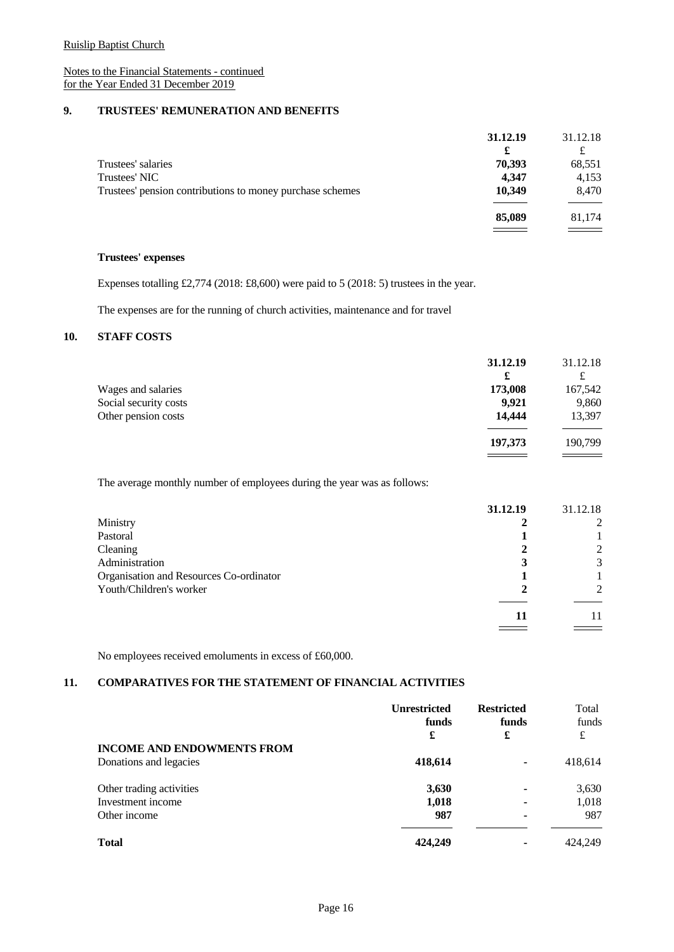# **9. TRUSTEES' REMUNERATION AND BENEFITS**

|                                                           | 31.12.19 | 31.12.18 |  |
|-----------------------------------------------------------|----------|----------|--|
|                                                           | £        | £        |  |
| Trustees' salaries                                        | 70,393   | 68,551   |  |
| Trustees' NIC                                             | 4,347    | 4,153    |  |
| Trustees' pension contributions to money purchase schemes | 10,349   | 8,470    |  |
|                                                           |          |          |  |
|                                                           | 85,089   | 81,174   |  |
|                                                           |          |          |  |

#### **Trustees' expenses**

Expenses totalling £2,774 (2018: £8,600) were paid to 5 (2018: 5) trustees in the year.

The expenses are for the running of church activities, maintenance and for travel

# **10. STAFF COSTS**

|                       | 31.12.19 | 31.12.18 |  |
|-----------------------|----------|----------|--|
|                       | £        | £        |  |
| Wages and salaries    | 173,008  | 167,542  |  |
| Social security costs | 9,921    | 9,860    |  |
| Other pension costs   | 14,444   | 13,397   |  |
|                       |          |          |  |
|                       | 197,373  | 190,799  |  |
|                       | _______  |          |  |

The average monthly number of employees during the year was as follows:

|                                         | 31.12.19 | 31.12.18 |  |
|-----------------------------------------|----------|----------|--|
| Ministry                                |          |          |  |
| Pastoral                                |          |          |  |
| Cleaning                                |          |          |  |
| Administration                          | 3        |          |  |
| Organisation and Resources Co-ordinator |          |          |  |
| Youth/Children's worker                 |          |          |  |
|                                         |          |          |  |
|                                         |          | 11       |  |
|                                         |          |          |  |

No employees received emoluments in excess of £60,000.

# **11. COMPARATIVES FOR THE STATEMENT OF FINANCIAL ACTIVITIES**

|                                   | <b>Unrestricted</b><br>funds<br>£ | <b>Restricted</b><br>funds<br>£ | Total<br>funds<br>£ |  |
|-----------------------------------|-----------------------------------|---------------------------------|---------------------|--|
| <b>INCOME AND ENDOWMENTS FROM</b> |                                   |                                 |                     |  |
| Donations and legacies            | 418,614                           | ۰                               | 418,614             |  |
| Other trading activities          | 3,630                             |                                 | 3,630               |  |
| Investment income                 | 1,018                             | ۰                               | 1,018               |  |
| Other income                      | 987                               |                                 | 987                 |  |
| <b>Total</b>                      | 424,249                           |                                 | 424,249             |  |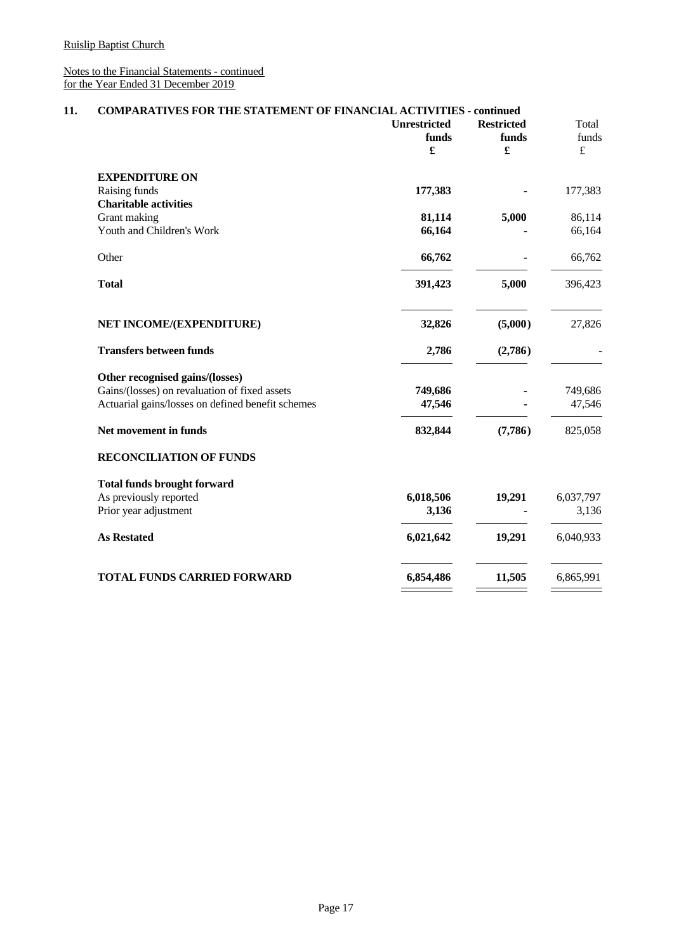| <b>COMPARATIVES FOR THE STATEMENT OF FINANCIAL ACTIVITIES - continued</b> | <b>Unrestricted</b> | <b>Restricted</b> | Total     |
|---------------------------------------------------------------------------|---------------------|-------------------|-----------|
|                                                                           | funds               | funds             | funds     |
|                                                                           | £                   | £                 | $\pounds$ |
| <b>EXPENDITURE ON</b>                                                     |                     |                   |           |
| Raising funds                                                             | 177,383             |                   | 177,383   |
| <b>Charitable activities</b>                                              |                     |                   |           |
| Grant making                                                              | 81,114              | 5,000             | 86,114    |
| Youth and Children's Work                                                 | 66,164              |                   | 66,164    |
| Other                                                                     | 66,762              |                   | 66,762    |
| <b>Total</b>                                                              | 391,423             | 5,000             | 396,423   |
| NET INCOME/(EXPENDITURE)                                                  | 32,826              | (5,000)           | 27,826    |
| <b>Transfers between funds</b>                                            | 2,786               | (2,786)           |           |
| Other recognised gains/(losses)                                           |                     |                   |           |
| Gains/(losses) on revaluation of fixed assets                             | 749,686             |                   | 749,686   |
| Actuarial gains/losses on defined benefit schemes                         | 47,546              |                   | 47,546    |
| Net movement in funds                                                     | 832,844             | (7,786)           | 825,058   |
| <b>RECONCILIATION OF FUNDS</b>                                            |                     |                   |           |
| <b>Total funds brought forward</b>                                        |                     |                   |           |
| As previously reported                                                    | 6,018,506           | 19,291            | 6,037,797 |
| Prior year adjustment                                                     | 3,136               |                   | 3,136     |
| <b>As Restated</b>                                                        | 6,021,642           | 19,291            | 6,040,933 |
| <b>TOTAL FUNDS CARRIED FORWARD</b>                                        | 6,854,486           | 11,505            | 6,865,991 |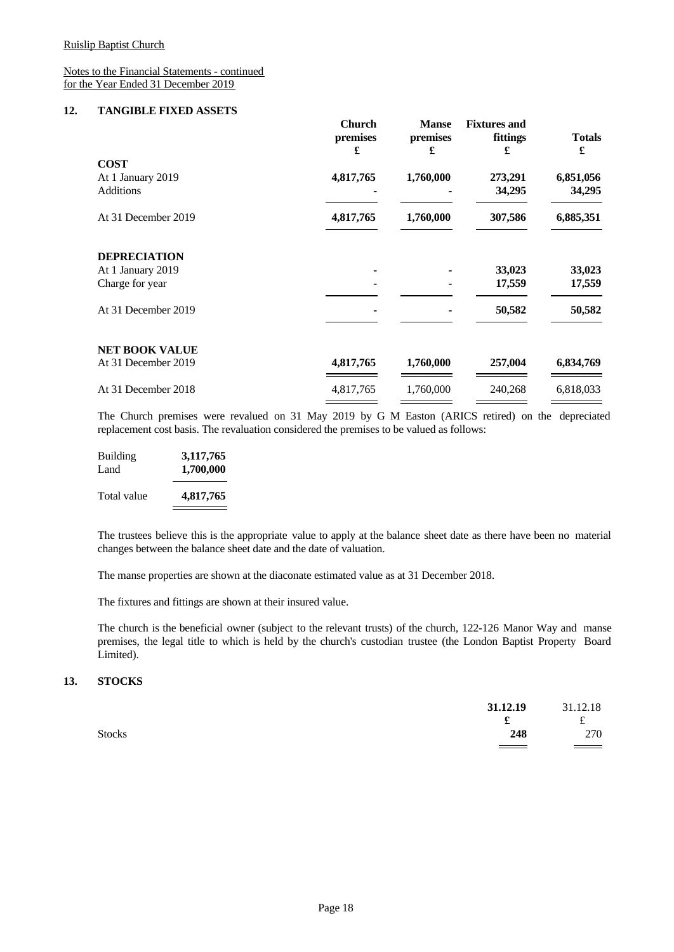## **12. TANGIBLE FIXED ASSETS**

|                       | <b>Church</b><br>premises<br>£ | <b>Manse</b><br>premises<br>£ | <b>Fixtures and</b><br>fittings<br>£ | <b>Totals</b><br>£ |
|-----------------------|--------------------------------|-------------------------------|--------------------------------------|--------------------|
| <b>COST</b>           |                                |                               |                                      |                    |
| At 1 January 2019     | 4,817,765                      | 1,760,000                     | 273,291                              | 6,851,056          |
| <b>Additions</b>      |                                |                               | 34,295                               | 34,295             |
| At 31 December 2019   | 4,817,765                      | 1,760,000                     | 307,586                              | 6,885,351          |
| <b>DEPRECIATION</b>   |                                |                               |                                      |                    |
| At 1 January 2019     | ۰                              |                               | 33,023                               | 33,023             |
| Charge for year       | ۰                              |                               | 17,559                               | 17,559             |
| At 31 December 2019   |                                |                               | 50,582                               | 50,582             |
| <b>NET BOOK VALUE</b> |                                |                               |                                      |                    |
| At 31 December 2019   | 4,817,765                      | 1,760,000                     | 257,004                              | 6,834,769          |
| At 31 December 2018   | 4,817,765                      | 1,760,000                     | 240,268                              | 6,818,033          |
|                       |                                |                               |                                      |                    |

The Church premises were revalued on 31 May 2019 by G M Easton (ARICS retired) on the depreciated replacement cost basis. The revaluation considered the premises to be valued as follows:

| <b>Building</b><br>Land | 3,117,765<br>1,700,000 |  |
|-------------------------|------------------------|--|
| Total value             | 4,817,765              |  |

The trustees believe this is the appropriate value to apply at the balance sheet date as there have been no material changes between the balance sheet date and the date of valuation.

The manse properties are shown at the diaconate estimated value as at 31 December 2018.

The fixtures and fittings are shown at their insured value.

The church is the beneficial owner (subject to the relevant trusts) of the church, 122-126 Manor Way and manse premises, the legal title to which is held by the church's custodian trustee (the London Baptist Property Board Limited).

## **13. STOCKS**

|               | 31.12.19          | 31.12.18          |
|---------------|-------------------|-------------------|
|               | £                 | $\mathbf f$       |
| <b>Stocks</b> | 248               | 270               |
|               | $\equiv$ $\equiv$ | $\equiv$ $\equiv$ |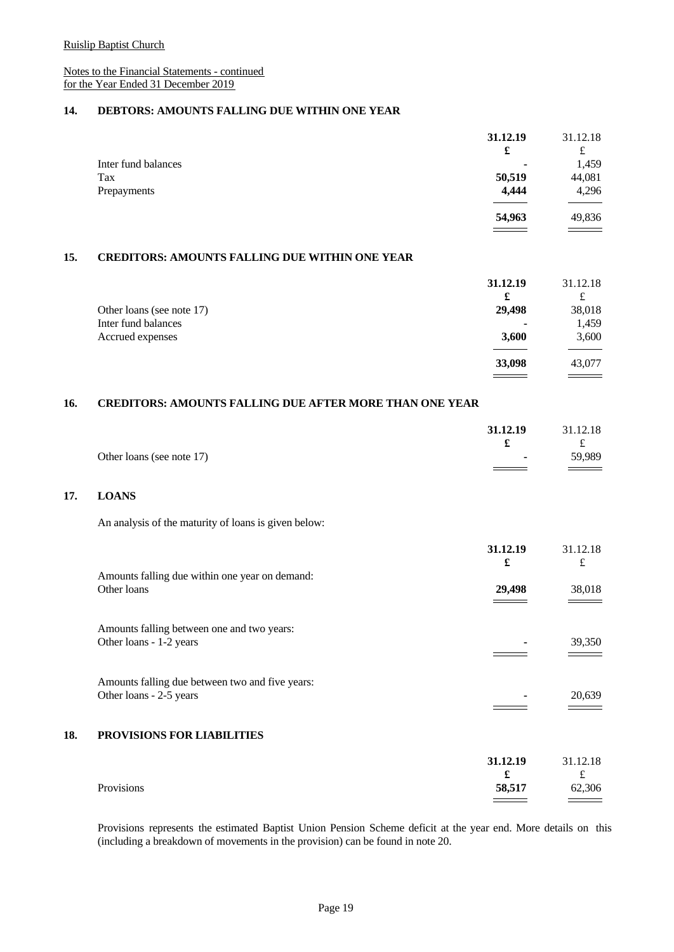# **14. DEBTORS: AMOUNTS FALLING DUE WITHIN ONE YEAR**

|                     | 31.12.19                 | 31.12.18 |  |
|---------------------|--------------------------|----------|--|
|                     | £                        | £        |  |
| Inter fund balances | $\overline{\phantom{a}}$ | 1,459    |  |
| Tax                 | 50,519                   | 44,081   |  |
| Prepayments         | 4,444                    | 4,296    |  |
|                     |                          |          |  |
|                     | 54,963                   | 49,836   |  |
|                     |                          |          |  |

# **15. CREDITORS: AMOUNTS FALLING DUE WITHIN ONE YEAR**

|                           | 31.12.19                 | 31.12.18 |  |
|---------------------------|--------------------------|----------|--|
|                           | £                        | £        |  |
| Other loans (see note 17) | 29,498                   | 38,018   |  |
| Inter fund balances       | $\overline{\phantom{a}}$ | 1,459    |  |
| Accrued expenses          | 3,600                    | 3,600    |  |
|                           |                          |          |  |
|                           | 33,098                   | 43,077   |  |
|                           |                          |          |  |

# **16. CREDITORS: AMOUNTS FALLING DUE AFTER MORE THAN ONE YEAR**

| Other loans (see note 17)                                                  | 31.12.19<br>£           | 31.12.18<br>$\mathfrak{t}$<br>59,989 |  |
|----------------------------------------------------------------------------|-------------------------|--------------------------------------|--|
| 17.<br><b>LOANS</b>                                                        |                         |                                      |  |
| An analysis of the maturity of loans is given below:                       |                         |                                      |  |
| Amounts falling due within one year on demand:<br>Other loans              | 31.12.19<br>£<br>29,498 | 31.12.18<br>$\pounds$<br>38,018      |  |
| Amounts falling between one and two years:<br>Other loans - 1-2 years      |                         | 39,350                               |  |
| Amounts falling due between two and five years:<br>Other loans - 2-5 years |                         | 20,639                               |  |
| 18.<br>PROVISIONS FOR LIABILITIES                                          |                         |                                      |  |
| Provisions                                                                 | 31.12.19<br>£<br>58,517 | 31.12.18<br>$\pounds$<br>62,306      |  |

Provisions represents the estimated Baptist Union Pension Scheme deficit at the year end. More details on this (including a breakdown of movements in the provision) can be found in note 20.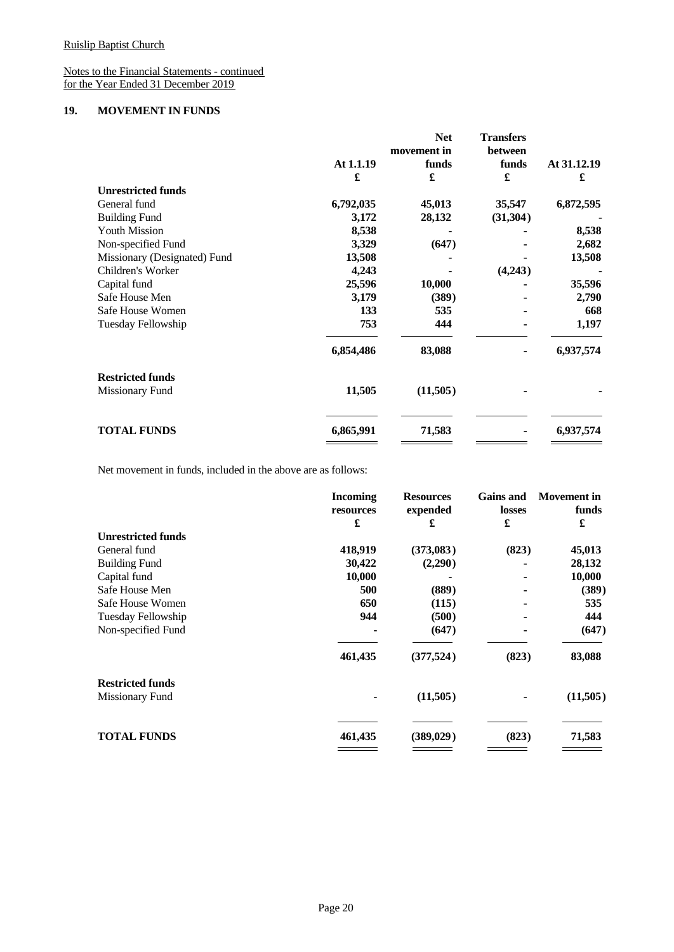# **19. MOVEMENT IN FUNDS**

|                              |           | <b>Net</b>  | <b>Transfers</b> |             |  |
|------------------------------|-----------|-------------|------------------|-------------|--|
|                              |           | movement in | between          |             |  |
|                              | At 1.1.19 | funds       | funds            | At 31.12.19 |  |
|                              | £         | £           | £                | £           |  |
| <b>Unrestricted funds</b>    |           |             |                  |             |  |
| General fund                 | 6,792,035 | 45,013      | 35,547           | 6,872,595   |  |
| <b>Building Fund</b>         | 3,172     | 28,132      | (31,304)         |             |  |
| <b>Youth Mission</b>         | 8,538     |             |                  | 8,538       |  |
| Non-specified Fund           | 3,329     | (647)       |                  | 2,682       |  |
| Missionary (Designated) Fund | 13,508    |             |                  | 13,508      |  |
| Children's Worker            | 4,243     |             | (4,243)          |             |  |
| Capital fund                 | 25,596    | 10,000      |                  | 35,596      |  |
| Safe House Men               | 3,179     | (389)       |                  | 2,790       |  |
| Safe House Women             | 133       | 535         |                  | 668         |  |
| Tuesday Fellowship           | 753       | 444         |                  | 1,197       |  |
|                              | 6,854,486 | 83,088      |                  | 6,937,574   |  |
| <b>Restricted funds</b>      |           |             |                  |             |  |
| Missionary Fund              | 11,505    | (11,505)    |                  |             |  |
| <b>TOTAL FUNDS</b>           | 6,865,991 | 71,583      |                  | 6,937,574   |  |

Net movement in funds, included in the above are as follows:

|                           | <b>Incoming</b><br>resources | <b>Resources</b><br>expended | <b>Gains and</b><br>losses | <b>Movement</b> in<br>funds |
|---------------------------|------------------------------|------------------------------|----------------------------|-----------------------------|
|                           | £                            | £                            | £                          | £                           |
| <b>Unrestricted funds</b> |                              |                              |                            |                             |
| General fund              | 418,919                      | (373,083)                    | (823)                      | 45,013                      |
| <b>Building Fund</b>      | 30,422                       | (2,290)                      |                            | 28,132                      |
| Capital fund              | 10,000                       |                              |                            | 10,000                      |
| Safe House Men            | 500                          | (889)                        |                            | (389)                       |
| Safe House Women          | 650                          | (115)                        |                            | 535                         |
| Tuesday Fellowship        | 944                          | (500)                        |                            | 444                         |
| Non-specified Fund        |                              | (647)                        | ٠                          | (647)                       |
|                           | 461,435                      | (377, 524)                   | (823)                      | 83,088                      |
| <b>Restricted funds</b>   |                              |                              |                            |                             |
| <b>Missionary Fund</b>    |                              | (11,505)                     |                            | (11,505)                    |
|                           |                              |                              |                            |                             |
| <b>TOTAL FUNDS</b>        | 461,435                      | (389, 029)                   | (823)                      | 71,583                      |
|                           |                              |                              |                            |                             |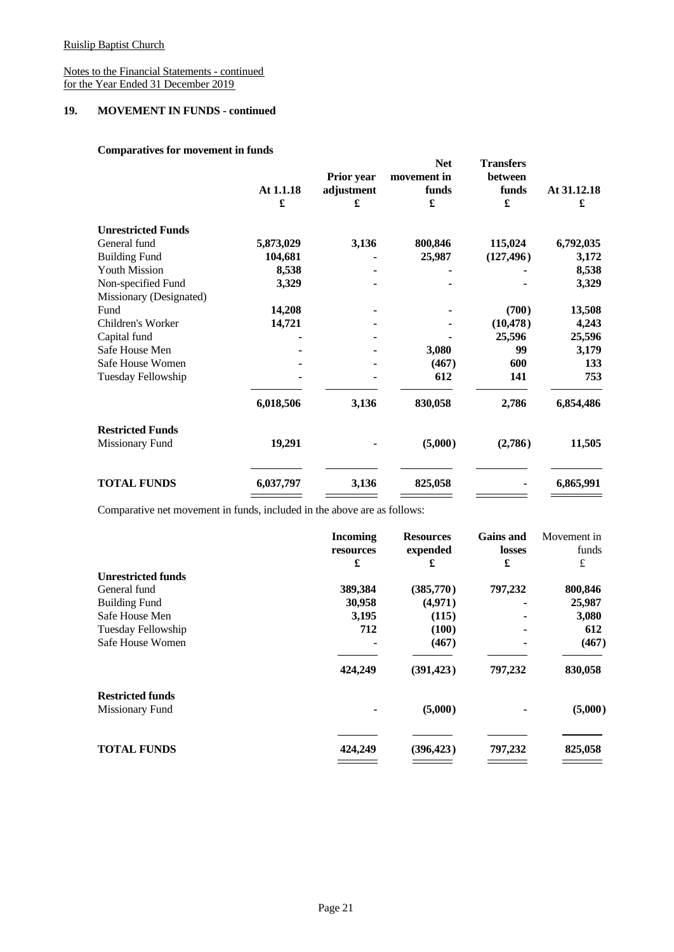# **19. MOVEMENT IN FUNDS - continued**

## **Comparatives for movement in funds**

|                           | At 1.1.18<br>£ | Prior year<br>adjustment<br>£ | <b>Net</b><br>movement in<br>funds<br>£ | <b>Transfers</b><br>between<br>funds<br>£ | At 31.12.18<br>£ |  |
|---------------------------|----------------|-------------------------------|-----------------------------------------|-------------------------------------------|------------------|--|
| <b>Unrestricted Funds</b> |                |                               |                                         |                                           |                  |  |
| General fund              | 5,873,029      | 3,136                         | 800,846                                 | 115,024                                   | 6,792,035        |  |
| <b>Building Fund</b>      | 104,681        |                               | 25,987                                  | (127, 496)                                | 3,172            |  |
| <b>Youth Mission</b>      | 8,538          |                               |                                         |                                           | 8,538            |  |
| Non-specified Fund        | 3,329          |                               |                                         |                                           | 3,329            |  |
| Missionary (Designated)   |                |                               |                                         |                                           |                  |  |
| Fund                      | 14,208         |                               |                                         | (700)                                     | 13,508           |  |
| Children's Worker         | 14,721         |                               |                                         | (10, 478)                                 | 4,243            |  |
| Capital fund              |                |                               |                                         | 25,596                                    | 25,596           |  |
| Safe House Men            |                |                               | 3,080                                   | 99                                        | 3,179            |  |
| Safe House Women          |                |                               | (467)                                   | 600                                       | 133              |  |
| Tuesday Fellowship        |                |                               | 612                                     | 141                                       | 753              |  |
|                           | 6,018,506      | 3,136                         | 830,058                                 | 2,786                                     | 6,854,486        |  |
| <b>Restricted Funds</b>   |                |                               |                                         |                                           |                  |  |
| <b>Missionary Fund</b>    | 19,291         |                               | (5,000)                                 | (2,786)                                   | 11,505           |  |
| <b>TOTAL FUNDS</b>        | 6,037,797      | 3,136                         | 825,058                                 |                                           | 6,865,991        |  |
|                           |                |                               |                                         |                                           |                  |  |

Comparative net movement in funds, included in the above are as follows:

|                           | <b>Incoming</b><br>resources | <b>Resources</b><br>expended | <b>Gains and</b><br>losses | Movement in<br>funds |
|---------------------------|------------------------------|------------------------------|----------------------------|----------------------|
|                           | £                            | £                            | £                          | £                    |
| <b>Unrestricted funds</b> |                              |                              |                            |                      |
| General fund              | 389,384                      | (385,770)                    | 797,232                    | 800,846              |
| <b>Building Fund</b>      | 30,958                       | (4,971)                      |                            | 25,987               |
| Safe House Men            | 3,195                        | (115)                        | $\blacksquare$             | 3,080                |
| Tuesday Fellowship        | 712                          | (100)                        |                            | 612                  |
| Safe House Women          |                              | (467)                        | $\blacksquare$             | (467)                |
|                           | 424,249                      | (391, 423)                   | 797,232                    | 830,058              |
| <b>Restricted funds</b>   |                              |                              |                            |                      |
| <b>Missionary Fund</b>    | ۰                            | (5,000)                      | ٠                          | (5,000)              |
|                           |                              |                              |                            |                      |
| <b>TOTAL FUNDS</b>        | 424,249                      | (396, 423)                   | 797,232                    | 825,058              |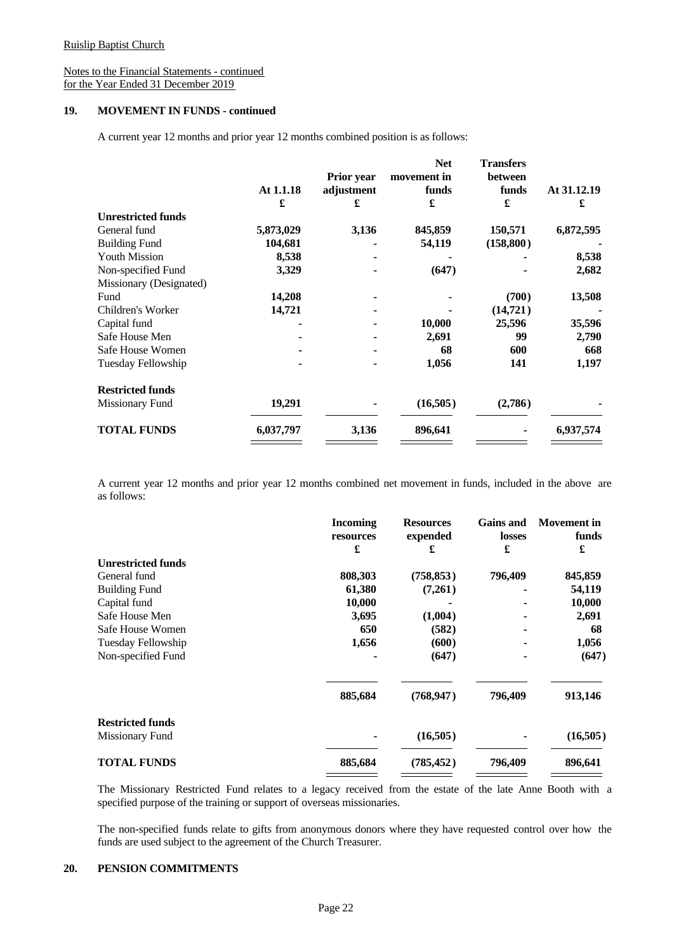## **19. MOVEMENT IN FUNDS - continued**

A current year 12 months and prior year 12 months combined position is as follows:

|                           |           |                   | <b>Net</b>  | <b>Transfers</b> |             |  |
|---------------------------|-----------|-------------------|-------------|------------------|-------------|--|
|                           |           | <b>Prior year</b> | movement in | between          |             |  |
|                           | At 1.1.18 | adjustment        | funds       | funds            | At 31.12.19 |  |
|                           | £         | £                 | £           | £                | £           |  |
| <b>Unrestricted funds</b> |           |                   |             |                  |             |  |
| General fund              | 5,873,029 | 3,136             | 845,859     | 150,571          | 6,872,595   |  |
| <b>Building Fund</b>      | 104,681   |                   | 54,119      | (158, 800)       |             |  |
| <b>Youth Mission</b>      | 8,538     |                   |             |                  | 8,538       |  |
| Non-specified Fund        | 3,329     |                   | (647)       |                  | 2,682       |  |
| Missionary (Designated)   |           |                   |             |                  |             |  |
| Fund                      | 14,208    |                   |             | (700)            | 13,508      |  |
| Children's Worker         | 14,721    |                   |             | (14, 721)        |             |  |
| Capital fund              |           |                   | 10,000      | 25,596           | 35,596      |  |
| Safe House Men            |           | ۰                 | 2,691       | 99               | 2,790       |  |
| Safe House Women          |           |                   | 68          | 600              | 668         |  |
| Tuesday Fellowship        |           | ۰                 | 1,056       | 141              | 1,197       |  |
| <b>Restricted funds</b>   |           |                   |             |                  |             |  |
| <b>Missionary Fund</b>    | 19,291    |                   | (16,505)    | (2,786)          |             |  |
| <b>TOTAL FUNDS</b>        | 6,037,797 | 3,136             | 896,641     |                  | 6,937,574   |  |
|                           |           |                   |             |                  |             |  |

A current year 12 months and prior year 12 months combined net movement in funds, included in the above are as follows:

|                           | <b>Incoming</b><br>resources<br>£ | <b>Resources</b><br>expended<br>£ | <b>Gains and</b><br>losses<br>£ | <b>Movement</b> in<br>funds<br>£ |
|---------------------------|-----------------------------------|-----------------------------------|---------------------------------|----------------------------------|
| <b>Unrestricted funds</b> |                                   |                                   |                                 |                                  |
| General fund              | 808,303                           | (758, 853)                        | 796,409                         | 845,859                          |
| <b>Building Fund</b>      | 61,380                            | (7,261)                           |                                 | 54,119                           |
| Capital fund              | 10,000                            |                                   |                                 | 10,000                           |
| Safe House Men            | 3,695                             | (1,004)                           |                                 | 2,691                            |
| Safe House Women          | 650                               | (582)                             |                                 | 68                               |
| Tuesday Fellowship        | 1,656                             | (600)                             |                                 | 1,056                            |
| Non-specified Fund        |                                   | (647)                             |                                 | (647)                            |
|                           | 885,684                           | (768, 947)                        | 796,409                         | 913,146                          |
| <b>Restricted funds</b>   |                                   |                                   |                                 |                                  |
| <b>Missionary Fund</b>    |                                   | (16,505)                          |                                 | (16,505)                         |
| <b>TOTAL FUNDS</b>        | 885,684                           | (785, 452)                        | 796,409                         | 896,641                          |
|                           |                                   |                                   |                                 |                                  |

The Missionary Restricted Fund relates to a legacy received from the estate of the late Anne Booth with a specified purpose of the training or support of overseas missionaries.

The non-specified funds relate to gifts from anonymous donors where they have requested control over how the funds are used subject to the agreement of the Church Treasurer.

# **20. PENSION COMMITMENTS**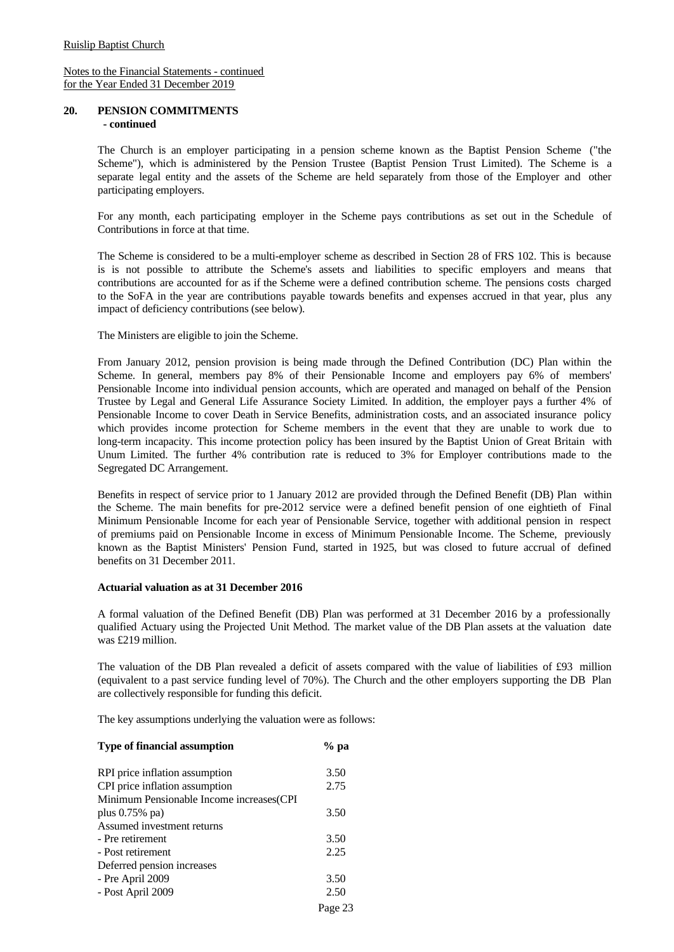#### **20. PENSION COMMITMENTS - continued**

The Church is an employer participating in a pension scheme known as the Baptist Pension Scheme ("the Scheme"), which is administered by the Pension Trustee (Baptist Pension Trust Limited). The Scheme is a separate legal entity and the assets of the Scheme are held separately from those of the Employer and other participating employers.

For any month, each participating employer in the Scheme pays contributions as set out in the Schedule of Contributions in force at that time.

The Scheme is considered to be a multi-employer scheme as described in Section 28 of FRS 102. This is because is is not possible to attribute the Scheme's assets and liabilities to specific employers and means that contributions are accounted for as if the Scheme were a defined contribution scheme. The pensions costs charged to the SoFA in the year are contributions payable towards benefits and expenses accrued in that year, plus any impact of deficiency contributions (see below).

The Ministers are eligible to join the Scheme.

From January 2012, pension provision is being made through the Defined Contribution (DC) Plan within the Scheme. In general, members pay 8% of their Pensionable Income and employers pay 6% of members' Pensionable Income into individual pension accounts, which are operated and managed on behalf of the Pension Trustee by Legal and General Life Assurance Society Limited. In addition, the employer pays a further 4% of Pensionable Income to cover Death in Service Benefits, administration costs, and an associated insurance policy which provides income protection for Scheme members in the event that they are unable to work due to long-term incapacity. This income protection policy has been insured by the Baptist Union of Great Britain with Unum Limited. The further 4% contribution rate is reduced to 3% for Employer contributions made to the Segregated DC Arrangement.

Benefits in respect of service prior to 1 January 2012 are provided through the Defined Benefit (DB) Plan within the Scheme. The main benefits for pre-2012 service were a defined benefit pension of one eightieth of Final Minimum Pensionable Income for each year of Pensionable Service, together with additional pension in respect of premiums paid on Pensionable Income in excess of Minimum Pensionable Income. The Scheme, previously known as the Baptist Ministers' Pension Fund, started in 1925, but was closed to future accrual of defined benefits on 31 December 2011.

#### **Actuarial valuation as at 31 December 2016**

A formal valuation of the Defined Benefit (DB) Plan was performed at 31 December 2016 by a professionally qualified Actuary using the Projected Unit Method. The market value of the DB Plan assets at the valuation date was £219 million.

The valuation of the DB Plan revealed a deficit of assets compared with the value of liabilities of £93 million (equivalent to a past service funding level of 70%). The Church and the other employers supporting the DB Plan are collectively responsible for funding this deficit.

The key assumptions underlying the valuation were as follows:

| <b>Type of financial assumption</b>      | $%$ pa  |  |
|------------------------------------------|---------|--|
| RPI price inflation assumption           | 3.50    |  |
| CPI price inflation assumption           | 2.75    |  |
| Minimum Pensionable Income increases(CPI |         |  |
| plus $0.75\%$ pa)                        | 3.50    |  |
| Assumed investment returns               |         |  |
| - Pre retirement                         | 3.50    |  |
| - Post retirement                        | 2.25    |  |
| Deferred pension increases               |         |  |
| - Pre April 2009                         | 3.50    |  |
| - Post April 2009                        | 2.50    |  |
|                                          | Page 23 |  |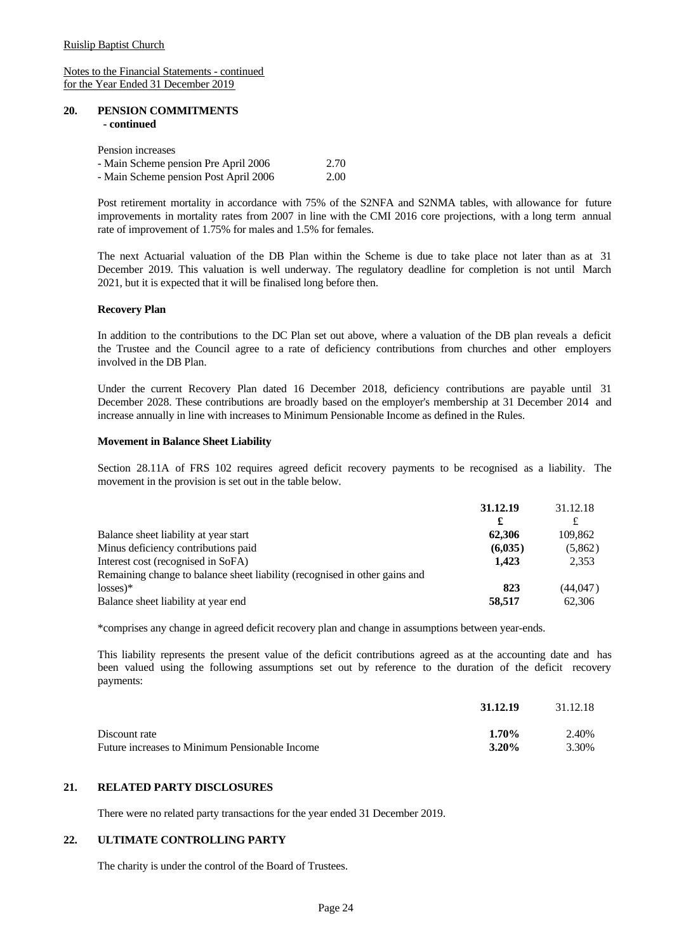#### **20. PENSION COMMITMENTS - continued**

| Pension increases                     |      |  |
|---------------------------------------|------|--|
| - Main Scheme pension Pre April 2006  | 2.70 |  |
| - Main Scheme pension Post April 2006 | 2.00 |  |

Post retirement mortality in accordance with 75% of the S2NFA and S2NMA tables, with allowance for future improvements in mortality rates from 2007 in line with the CMI 2016 core projections, with a long term annual rate of improvement of 1.75% for males and 1.5% for females.

The next Actuarial valuation of the DB Plan within the Scheme is due to take place not later than as at 31 December 2019. This valuation is well underway. The regulatory deadline for completion is not until March 2021, but it is expected that it will be finalised long before then.

### **Recovery Plan**

In addition to the contributions to the DC Plan set out above, where a valuation of the DB plan reveals a deficit the Trustee and the Council agree to a rate of deficiency contributions from churches and other employers involved in the DB Plan.

Under the current Recovery Plan dated 16 December 2018, deficiency contributions are payable until 31 December 2028. These contributions are broadly based on the employer's membership at 31 December 2014 and increase annually in line with increases to Minimum Pensionable Income as defined in the Rules.

#### **Movement in Balance Sheet Liability**

Section 28.11A of FRS 102 requires agreed deficit recovery payments to be recognised as a liability. The movement in the provision is set out in the table below.

|                                                                            | 31.12.19 | 31.12.18 |  |
|----------------------------------------------------------------------------|----------|----------|--|
|                                                                            | £        | ┻        |  |
| Balance sheet liability at year start                                      | 62.306   | 109,862  |  |
| Minus deficiency contributions paid                                        | (6,035)  | (5,862)  |  |
| Interest cost (recognised in SoFA)                                         | 1.423    | 2,353    |  |
| Remaining change to balance sheet liability (recognised in other gains and |          |          |  |
| $losses)*$                                                                 | 823      | (44.047) |  |
| Balance sheet liability at year end                                        | 58,517   | 62,306   |  |

\*comprises any change in agreed deficit recovery plan and change in assumptions between year-ends.

This liability represents the present value of the deficit contributions agreed as at the accounting date and has been valued using the following assumptions set out by reference to the duration of the deficit recovery payments:

|                                                | 31.12.19 | 31.12.18 |  |
|------------------------------------------------|----------|----------|--|
| Discount rate                                  | $1.70\%$ | 2.40%    |  |
| Future increases to Minimum Pensionable Income | $3.20\%$ | 3.30%    |  |

#### **21. RELATED PARTY DISCLOSURES**

There were no related party transactions for the year ended 31 December 2019.

### **22. ULTIMATE CONTROLLING PARTY**

The charity is under the control of the Board of Trustees.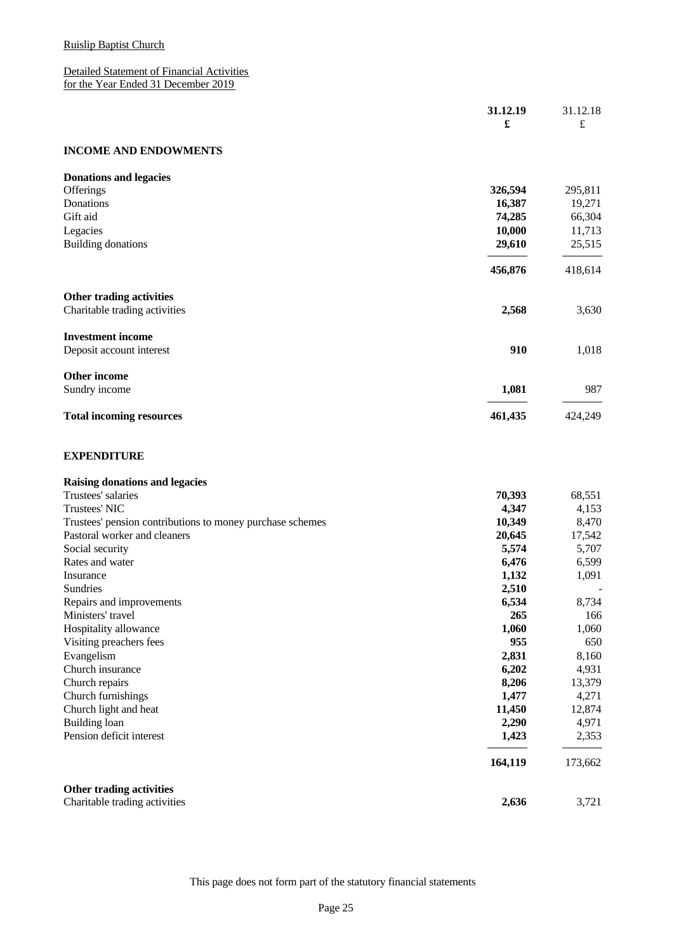# Detailed Statement of Financial Activities for the Year Ended 31 December 2019

| 31.12.19<br>. | 31.12.18 |   |
|---------------|----------|---|
| c<br>$\sim$   |          | £ |
|               |          |   |

# **INCOME AND ENDOWMENTS**

| <b>Donations and legacies</b>   |         |         |
|---------------------------------|---------|---------|
| <b>Offerings</b>                | 326,594 | 295,811 |
| Donations                       | 16,387  | 19,271  |
| Gift aid                        | 74,285  | 66,304  |
| Legacies                        | 10,000  | 11,713  |
| <b>Building donations</b>       | 29,610  | 25,515  |
|                                 | 456,876 | 418,614 |
| Other trading activities        |         |         |
| Charitable trading activities   | 2,568   | 3,630   |
| <b>Investment income</b>        |         |         |
| Deposit account interest        | 910     | 1,018   |
| Other income                    |         |         |
| Sundry income                   | 1,081   | 987     |
| <b>Total incoming resources</b> | 461,435 | 424,249 |
|                                 |         |         |

## **EXPENDITURE**

| <b>Raising donations and legacies</b>                     |         |         |
|-----------------------------------------------------------|---------|---------|
| Trustees' salaries                                        | 70,393  | 68,551  |
| Trustees' NIC                                             | 4,347   | 4,153   |
| Trustees' pension contributions to money purchase schemes | 10,349  | 8,470   |
| Pastoral worker and cleaners                              | 20,645  | 17,542  |
| Social security                                           | 5,574   | 5,707   |
| Rates and water                                           | 6,476   | 6,599   |
| Insurance                                                 | 1,132   | 1,091   |
| Sundries                                                  | 2,510   |         |
| Repairs and improvements                                  | 6,534   | 8,734   |
| Ministers' travel                                         | 265     | 166     |
| Hospitality allowance                                     | 1,060   | 1,060   |
| Visiting preachers fees                                   | 955     | 650     |
| Evangelism                                                | 2,831   | 8,160   |
| Church insurance                                          | 6,202   | 4,931   |
| Church repairs                                            | 8,206   | 13,379  |
| Church furnishings                                        | 1,477   | 4,271   |
| Church light and heat                                     | 11,450  | 12,874  |
| Building loan                                             | 2,290   | 4,971   |
| Pension deficit interest                                  | 1,423   | 2,353   |
|                                                           | 164,119 | 173,662 |
| Other trading activities                                  |         |         |
| Charitable trading activities                             | 2,636   | 3,721   |